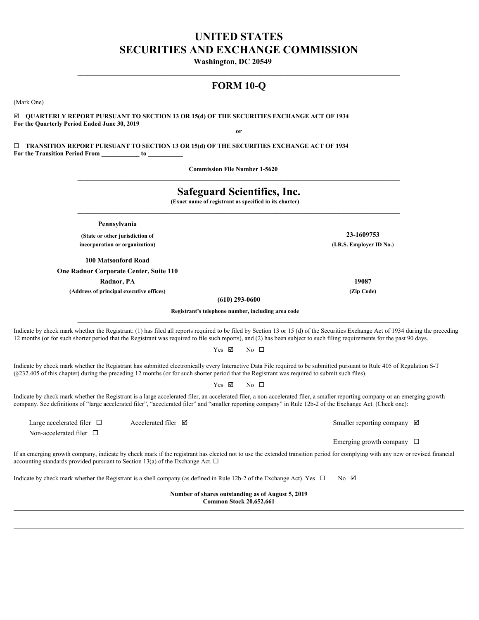# **UNITED STATES SECURITIES AND EXCHANGE COMMISSION**

**Washington, DC 20549** 

# **FORM 10-Q**

 $\mathcal{L}_\mathcal{L} = \mathcal{L}_\mathcal{L}$ 

 $\mathcal{L}_\mathcal{L} = \mathcal{L}_\mathcal{L}$ 

(Mark One)

þ **QUARTERLY REPORT PURSUANT TO SECTION 13 OR 15(d) OF THE SECURITIES EXCHANGE ACT OF 1934 For the Quarterly Period Ended June 30, 2019 or**

¨ **TRANSITION REPORT PURSUANT TO SECTION 13 OR 15(d) OF THE SECURITIES EXCHANGE ACT OF 1934 For the Transition Period From \_\_\_\_\_\_\_\_\_\_\_\_ to \_\_\_\_\_\_\_\_\_\_\_**

**Commission File Number 1-5620** 

# **Safeguard Scientifics, Inc. (Exact name of registrant as specified in its charter) Pennsylvania (State or other jurisdiction of 23-1609753 incorporation or organization) (I.R.S. Employer ID No.) 100 Matsonford Road One Radnor Corporate Center, Suite 110 Radnor, PA 19087 (Address of principal executive offices) (Zip Code) (610) 293-0600 Registrant's telephone number, including area code**  $\mathcal{L}_\mathcal{L} = \mathcal{L}_\mathcal{L}$ Indicate by check mark whether the Registrant: (1) has filed all reports required to be filed by Section 13 or 15 (d) of the Securities Exchange Act of 1934 during the preceding 12 months (or for such shorter period that the Registrant was required to file such reports), and (2) has been subject to such filing requirements for the past 90 days. Yes  $\boxtimes$ No  $\Box$ Indicate by check mark whether the Registrant has submitted electronically every Interactive Data File required to be submitted pursuant to Rule 405 of Regulation S-T (§232.405 of this chapter) during the preceding 12 months (or for such shorter period that the Registrant was required to submit such files). Yes **Ø** No  $\Box$ Indicate by check mark whether the Registrant is a large accelerated filer, an accelerated filer, a non-accelerated filer, a smaller reporting company or an emerging growth company. See definitions of "large accelerated filer", "accelerated filer" and "smaller reporting company" in Rule 12b-2 of the Exchange Act. (Check one): Large accelerated filer  $\square$  Accelerated filer  $\square$  Accelerated filer  $\square$ Non-accelerated filer  $\square$ Emerging growth company  $\Box$ If an emerging growth company, indicate by check mark if the registrant has elected not to use the extended transition period for complying with any new or revised financial accounting standards provided pursuant to Section 13(a) of the Exchange Act.  $\Box$ Indicate by check mark whether the Registrant is a shell company (as defined in Rule 12b-2 of the Exchange Act). Yes  $\Box$  $\mathbb N$ o  $\mathbb Z$ **Number of shares outstanding as of August 5, 2019 Common Stock 20,652,661**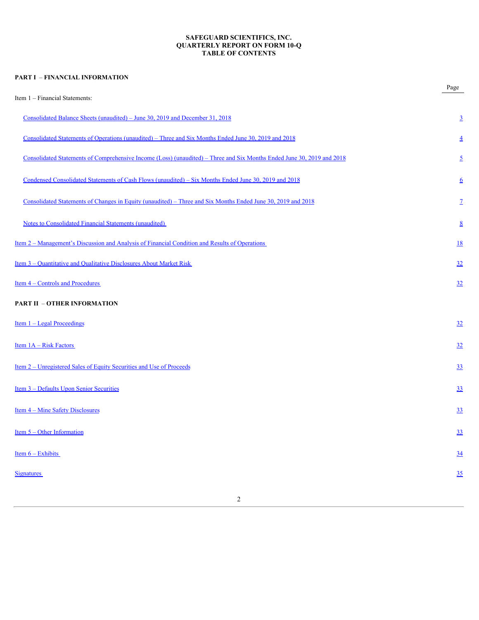## **SAFEGUARD SCIENTIFICS, INC. QUARTERLY REPORT ON FORM 10-Q TABLE OF CONTENTS**

| <b>PART I - FINANCIAL INFORMATION</b>                                                                                  |                  |
|------------------------------------------------------------------------------------------------------------------------|------------------|
| Item 1 - Financial Statements:                                                                                         | Page             |
| Consolidated Balance Sheets (unaudited) – June 30, 2019 and December 31, 2018                                          | $\overline{3}$   |
| Consolidated Statements of Operations (unaudited) – Three and Six Months Ended June 30, 2019 and 2018                  | $\overline{4}$   |
| Consolidated Statements of Comprehensive Income (Loss) (unaudited) – Three and Six Months Ended June 30, 2019 and 2018 | $\overline{2}$   |
| Condensed Consolidated Statements of Cash Flows (unaudited) – Six Months Ended June 30, 2019 and 2018                  | $6\overline{6}$  |
| Consolidated Statements of Changes in Equity (unaudited) – Three and Six Months Ended June 30, 2019 and 2018           | $\mathbf{Z}$     |
| <b>Notes to Consolidated Financial Statements (unaudited)</b>                                                          | $\underline{8}$  |
| <u>Item 2 – Management's Discussion and Analysis of Financial Condition and Results of Operations</u>                  | <u>18</u>        |
| <u>Item 3 – Quantitative and Qualitative Disclosures About Market Risk</u>                                             | 32               |
| Item 4 – Controls and Procedures                                                                                       | 32               |
| <b>PART II - OTHER INFORMATION</b>                                                                                     |                  |
| <u>Item <math>1 -</math> Legal Proceedings</u>                                                                         | 32               |
| Item $1A - Risk Factors$                                                                                               | 32               |
| <u>Item 2 – Unregistered Sales of Equity Securities and Use of Proceeds</u>                                            | 33               |
| Item 3 - Defaults Upon Senior Securities                                                                               | 33               |
| <u>Item 4 – Mine Safety Disclosures</u>                                                                                | 33               |
| Item $5 -$ Other Information                                                                                           | 33               |
| Item $6 -$ Exhibits                                                                                                    | $\underline{34}$ |
| <b>Signatures</b>                                                                                                      | 35               |
|                                                                                                                        |                  |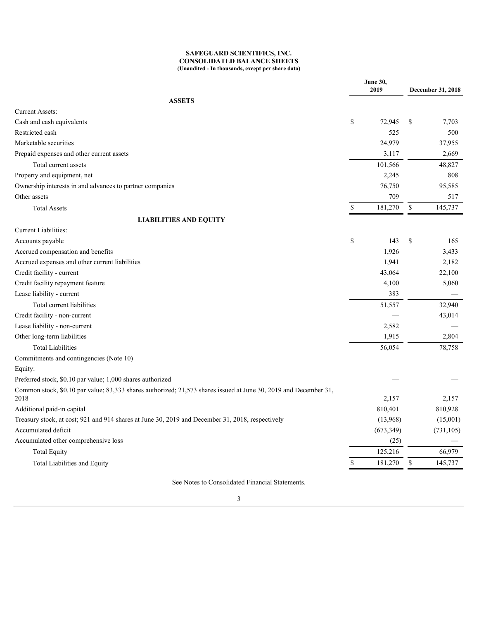## **SAFEGUARD SCIENTIFICS, INC. CONSOLIDATED BALANCE SHEETS (Unaudited - In thousands, except per share data)**

<span id="page-2-0"></span>

|                                                                                                                  |               | <b>June 30,</b>          |              |                          |
|------------------------------------------------------------------------------------------------------------------|---------------|--------------------------|--------------|--------------------------|
|                                                                                                                  |               | 2019                     |              | December 31, 2018        |
| <b>ASSETS</b>                                                                                                    |               |                          |              |                          |
| <b>Current Assets:</b>                                                                                           |               |                          |              |                          |
| Cash and cash equivalents                                                                                        | \$            | 72,945 \$                |              | 7,703                    |
| Restricted cash                                                                                                  |               | 525                      |              | 500                      |
| Marketable securities                                                                                            |               | 24,979                   |              | 37,955                   |
| Prepaid expenses and other current assets                                                                        |               | 3,117                    |              | 2,669                    |
| Total current assets                                                                                             |               | 101,566                  |              | 48,827                   |
| Property and equipment, net                                                                                      |               | 2,245                    |              | $808\,$                  |
| Ownership interests in and advances to partner companies                                                         |               | 76,750                   |              | 95,585                   |
| Other assets                                                                                                     |               | 709                      |              | 517                      |
| <b>Total Assets</b>                                                                                              | <sup>\$</sup> | 181,270 \$               |              | 145,737                  |
| <b>LIABILITIES AND EQUITY</b>                                                                                    |               |                          |              |                          |
| Current Liabilities:                                                                                             |               |                          |              |                          |
| Accounts payable                                                                                                 | $\mathbb{S}$  | 143S                     |              | 165                      |
| Accrued compensation and benefits                                                                                |               | 1,926                    |              | 3,433                    |
| Accrued expenses and other current liabilities                                                                   |               | 1,941                    |              | 2,182                    |
| Credit facility - current                                                                                        |               | 43,064                   |              | 22,100                   |
| Credit facility repayment feature                                                                                |               | 4,100                    |              | 5,060                    |
| Lease liability - current                                                                                        |               | 383                      |              | $\overline{\phantom{0}}$ |
| Total current liabilities                                                                                        |               | 51,557                   |              | 32,940                   |
| Credit facility - non-current                                                                                    |               | $\overline{\phantom{m}}$ |              | 43,014                   |
| Lease liability - non-current                                                                                    |               | 2,582                    |              |                          |
| Other long-term liabilities                                                                                      |               | 1,915                    |              | 2,804                    |
| <b>Total Liabilities</b>                                                                                         |               | 56,054                   |              | 78,758                   |
| Commitments and contingencies (Note 10)                                                                          |               |                          |              |                          |
| Equity:                                                                                                          |               |                          |              |                          |
| Preferred stock, \$0.10 par value; 1,000 shares authorized                                                       |               |                          |              |                          |
| Common stock, \$0.10 par value; 83,333 shares authorized; 21,573 shares issued at June 30, 2019 and December 31, |               |                          |              |                          |
| 2018                                                                                                             |               | 2,157                    |              | 2,157                    |
| Additional paid-in capital                                                                                       |               | 810,401                  |              | 810,928                  |
| Treasury stock, at cost; 921 and 914 shares at June 30, 2019 and December 31, 2018, respectively                 |               | (13,968)                 |              | (15,001)                 |
| Accumulated deficit                                                                                              |               | (673, 349)               |              | (731, 105)               |
| Accumulated other comprehensive loss                                                                             |               | (25)                     |              |                          |
| <b>Total Equity</b>                                                                                              |               | 125,216                  |              | 66,979                   |
| Total Liabilities and Equity                                                                                     |               | 181,270                  | <sup>S</sup> | 145,737                  |
|                                                                                                                  |               |                          |              |                          |

See Notes to Consolidated Financial Statements.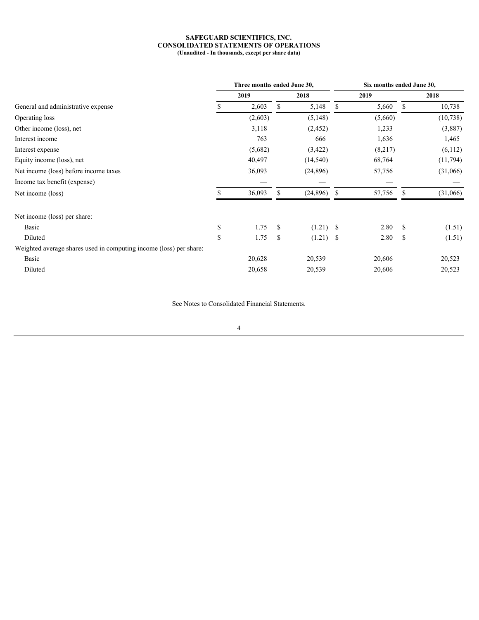#### **SAFEGUARD SCIENTIFICS, INC. CONSOLIDATED STATEMENTS OF OPERATIONS (Unaudited - In thousands, except per share data)**

<span id="page-3-0"></span>

|                               |       |                         |                             | Six months ended June 30,                                 |     |                                      |  |  |  |  |
|-------------------------------|-------|-------------------------|-----------------------------|-----------------------------------------------------------|-----|--------------------------------------|--|--|--|--|
| 2019                          |       | 2018                    |                             | 2019                                                      |     | 2018                                 |  |  |  |  |
|                               | - \$  |                         |                             |                                                           |     | 10,738                               |  |  |  |  |
| (2,603)                       |       | (5,148)                 |                             | (5,660)                                                   |     | (10, 738)                            |  |  |  |  |
| 3,118                         |       | (2, 452)                |                             | 1,233                                                     |     | (3,887)                              |  |  |  |  |
| 763                           |       | 666                     |                             | 1,636                                                     |     | 1,465                                |  |  |  |  |
| (5,682)                       |       | (3, 422)                |                             | (8,217)                                                   |     | (6,112)                              |  |  |  |  |
| 40,497                        |       | (14, 540)               |                             | 68,764                                                    |     | (11,794)                             |  |  |  |  |
| 36,093                        |       | (24, 896)               |                             | 57,756                                                    |     | (31,066)                             |  |  |  |  |
| $\overbrace{\phantom{13333}}$ |       |                         |                             | $\overline{\phantom{a}}$                                  |     | $\overbrace{\phantom{13333}}$        |  |  |  |  |
| 36,093                        |       |                         |                             |                                                           | - S | (31,066)                             |  |  |  |  |
|                               |       |                         |                             |                                                           |     |                                      |  |  |  |  |
|                               |       |                         |                             |                                                           | -S  | (1.51)                               |  |  |  |  |
|                               |       |                         |                             |                                                           | -S  | (1.51)                               |  |  |  |  |
|                               |       |                         |                             |                                                           |     |                                      |  |  |  |  |
| 20,628                        |       | 20,539                  |                             | 20,606                                                    |     | 20,523                               |  |  |  |  |
| 20,658                        |       | 20,539                  |                             | 20,606                                                    |     | 20,523                               |  |  |  |  |
|                               | 2,603 | $1.75 - $$<br>$1.75$ \$ | Three months ended June 30, | $5,148$ \$<br>$(24,896)$ \$<br>$(1.21)$ \$<br>$(1.21)$ \$ |     | $5,660$ \$<br>57,756<br>2.80<br>2.80 |  |  |  |  |

See Notes to Consolidated Financial Statements.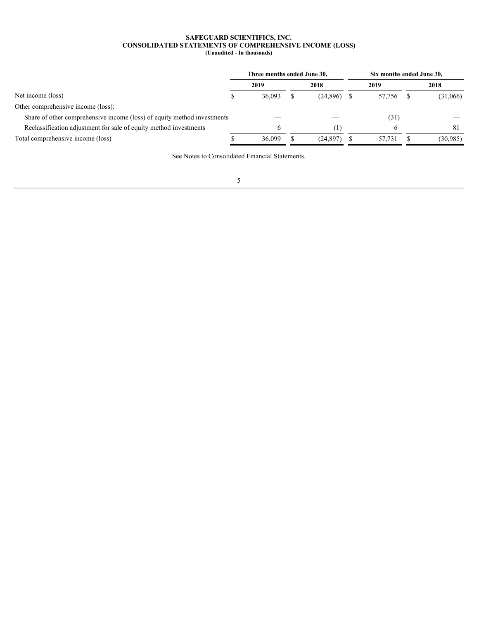#### **SAFEGUARD SCIENTIFICS, INC. CONSOLIDATED STATEMENTS OF COMPREHENSIVE INCOME (LOSS) (Unaudited - In thousands)**

<span id="page-4-0"></span>

|                                                                         | Three months ended June 30, |      |                                |  | Six months ended June 30, |  |                                |  |  |  |
|-------------------------------------------------------------------------|-----------------------------|------|--------------------------------|--|---------------------------|--|--------------------------------|--|--|--|
|                                                                         | 2019                        | 2018 |                                |  | 2019                      |  | 2018                           |  |  |  |
| Net income (loss)                                                       | 36,093                      |      | $(24,896)$ \$                  |  | 57,756 \$                 |  | (31,066)                       |  |  |  |
| Other comprehensive income (loss):                                      |                             |      |                                |  |                           |  |                                |  |  |  |
| Share of other comprehensive income (loss) of equity method investments |                             |      | $\overbrace{\hspace{25mm}}^{}$ |  | (31)                      |  | $\overbrace{\hspace{25mm}}^{}$ |  |  |  |
| Reclassification adjustment for sale of equity method investments       |                             |      |                                |  |                           |  |                                |  |  |  |
| Total comprehensive income (loss)                                       | 36,099                      |      | $(24,897)$ \$                  |  | 57,731                    |  | (30,985)                       |  |  |  |
|                                                                         |                             |      |                                |  |                           |  |                                |  |  |  |

See Notes to Consolidated Financial Statements.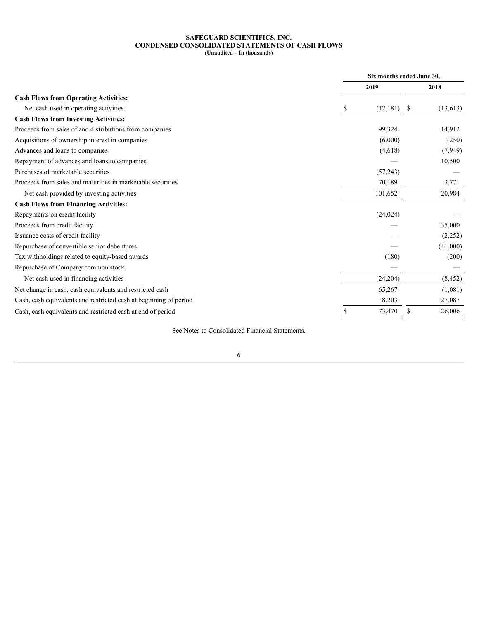#### **SAFEGUARD SCIENTIFICS, INC. CONDENSED CONSOLIDATED STATEMENTS OF CASH FLOWS (Unaudited – In thousands)**

<span id="page-5-0"></span>

|                                                                   | Six months ended June 30, |                   |
|-------------------------------------------------------------------|---------------------------|-------------------|
|                                                                   | 2019                      | 2018              |
| <b>Cash Flows from Operating Activities:</b>                      |                           |                   |
| Net cash used in operating activities                             | $(12,181)$ \$             | (13,613)          |
| <b>Cash Flows from Investing Activities:</b>                      |                           |                   |
| Proceeds from sales of and distributions from companies           | 99,324                    | 14,912            |
| Acquisitions of ownership interest in companies                   | (6,000)                   | (250)             |
| Advances and loans to companies                                   | (4,618)                   | (7, 949)          |
| Repayment of advances and loans to companies                      |                           | 10,500            |
| Purchases of marketable securities                                | (57,243)                  |                   |
| Proceeds from sales and maturities in marketable securities       | 70,189                    | 3,771             |
| Net cash provided by investing activities                         | 101,652                   | 20,984            |
| <b>Cash Flows from Financing Activities:</b>                      |                           |                   |
| Repayments on credit facility                                     | (24, 024)                 |                   |
| Proceeds from credit facility                                     |                           | 35,000            |
| Issuance costs of credit facility                                 |                           | (2,252)           |
| Repurchase of convertible senior debentures                       | $\hspace{0.05cm}$         | (41,000)          |
| Tax withholdings related to equity-based awards                   | (180)                     | (200)             |
| Repurchase of Company common stock                                | $\hspace{0.05cm}$         | $\hspace{0.05cm}$ |
| Net cash used in financing activities                             | (24,204)                  | (8, 452)          |
| Net change in cash, cash equivalents and restricted cash          | 65,267                    | (1,081)           |
| Cash, cash equivalents and restricted cash at beginning of period | 8,203                     | 27,087            |
| Cash, cash equivalents and restricted cash at end of period       | 73,470                    | 26,006<br>- S     |
|                                                                   |                           |                   |

See Notes to Consolidated Financial Statements.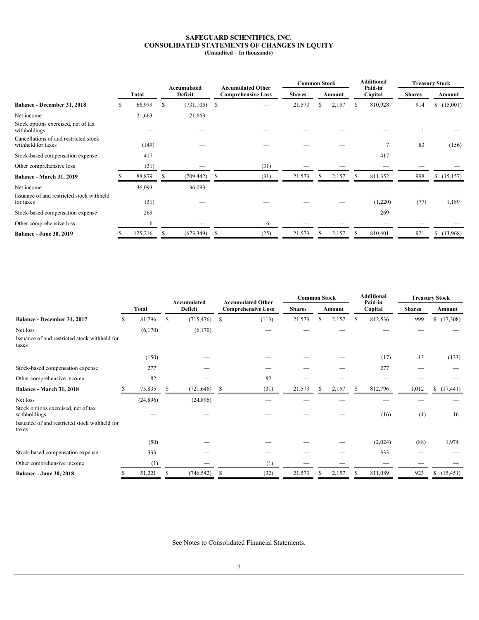#### **SAFEGUARD SCIENTIFICS, INC. CONSOLIDATED STATEMENTS OF CHANGES IN EQUITY (Unaudited – In thousands)**

<span id="page-6-0"></span>

|                                                             |  |         |              |                        |  |                                                       |        | <b>Common Stock</b>           |        |                   |     | <b>Additional</b>  |               | <b>Treasury Stock</b>                   |  |
|-------------------------------------------------------------|--|---------|--------------|------------------------|--|-------------------------------------------------------|--------|-------------------------------|--------|-------------------|-----|--------------------|---------------|-----------------------------------------|--|
|                                                             |  | Total   |              | Accumulated<br>Deficit |  | <b>Accumulated Other</b><br><b>Comprehensive Loss</b> |        | <b>Shares</b>                 | Amount |                   |     | Paid-in<br>Capital | <b>Shares</b> | Amount                                  |  |
| <b>Balance - December 31, 2018</b>                          |  | 66,979  | - \$         | (731, 105)             |  |                                                       | 21,573 |                               |        | 2,157             |     | 810,928            | 914           | (15,001)<br>ъ                           |  |
| Net income                                                  |  | 21,663  |              | 21,663                 |  |                                                       |        |                               |        |                   |     |                    |               |                                         |  |
| Stock options exercised, net of tax<br>withholdings         |  |         |              |                        |  |                                                       |        |                               |        |                   |     |                    |               |                                         |  |
| Cancellations of and restricted stock<br>withheld for taxes |  | (149)   |              |                        |  |                                                       |        |                               |        |                   |     |                    | 83            | (156)                                   |  |
| Stock-based compensation expense                            |  | 417     |              | $\hspace{0.05cm}$      |  |                                                       |        |                               |        | $\hspace{0.05cm}$ |     | 417                |               | $\hspace{0.05cm}$                       |  |
| Other comprehensive loss                                    |  | (31)    |              |                        |  | (31)                                                  |        | $\overbrace{\phantom{12332}}$ |        |                   |     |                    | _             |                                         |  |
| <b>Balance - March 31, 2019</b>                             |  | 88,879  |              | (709, 442)             |  | (31)                                                  | 21,573 |                               | - 8    | 2,157             |     | 811,352            | 998           | \$(15,157)                              |  |
| Net income                                                  |  | 36,093  |              | 36,093                 |  |                                                       |        |                               |        |                   |     |                    |               |                                         |  |
| Issuance of and restricted stock withheld<br>for taxes      |  | (31)    |              |                        |  |                                                       |        | __                            |        | $\hspace{0.05cm}$ |     | (1,220)            | (77)          | 1,189                                   |  |
| Stock-based compensation expense                            |  | 269     |              |                        |  |                                                       |        |                               |        |                   |     | 269                |               | $\hspace{1.0cm} \overline{\phantom{0}}$ |  |
| Other comprehensive loss                                    |  |         |              |                        |  |                                                       |        | $\overbrace{\phantom{12332}}$ |        |                   |     |                    |               | $\overbrace{\hspace{25mm}}^{}$          |  |
| <b>Balance - June 30, 2019</b>                              |  | 125,216 | $\mathbf{s}$ | $(673,349)$ \$         |  | (25)                                                  | 21,573 | - 5                           |        | 2,157             | - 5 | 810,401            | 921           | (13,968)<br>$\mathcal{P}$               |  |

| <b>Accumulated Other</b><br>Accumulated<br>Paid-in<br>Deficit<br><b>Total</b><br><b>Comprehensive Loss</b><br><b>Shares</b><br>Capital<br><b>Shares</b><br>Amount<br>Amount<br>999<br>$(715, 476)$ \$<br>(113)<br>21,573<br>812,536<br>Balance - December 31, 2017<br>.796<br>2,157<br>(17,308)<br>81.7<br>- S<br>- S<br>- 85<br>Net loss<br>(6,170)<br>(6,170)<br>$\overline{\phantom{a}}$<br>Issuance of and restricted stock withheld for<br>taxes<br>13<br>(133)<br>(150)<br>(17)<br>277<br>Stock-based compensation expense<br>277<br>$\overbrace{\phantom{12332}}$<br>82<br>Other comprehensive income<br>82<br>$\hspace{0.1mm}-\hspace{0.1mm}$<br>$\hspace{0.1mm}-\hspace{0.1mm}$<br>$\overline{\phantom{m}}$<br>$\overbrace{\phantom{13333}}$<br>$\overbrace{\phantom{12332}}$<br>$\hspace{0.1mm}-\hspace{0.1mm}$ |
|---------------------------------------------------------------------------------------------------------------------------------------------------------------------------------------------------------------------------------------------------------------------------------------------------------------------------------------------------------------------------------------------------------------------------------------------------------------------------------------------------------------------------------------------------------------------------------------------------------------------------------------------------------------------------------------------------------------------------------------------------------------------------------------------------------------------------|
|                                                                                                                                                                                                                                                                                                                                                                                                                                                                                                                                                                                                                                                                                                                                                                                                                           |
|                                                                                                                                                                                                                                                                                                                                                                                                                                                                                                                                                                                                                                                                                                                                                                                                                           |
|                                                                                                                                                                                                                                                                                                                                                                                                                                                                                                                                                                                                                                                                                                                                                                                                                           |
|                                                                                                                                                                                                                                                                                                                                                                                                                                                                                                                                                                                                                                                                                                                                                                                                                           |
|                                                                                                                                                                                                                                                                                                                                                                                                                                                                                                                                                                                                                                                                                                                                                                                                                           |
|                                                                                                                                                                                                                                                                                                                                                                                                                                                                                                                                                                                                                                                                                                                                                                                                                           |
|                                                                                                                                                                                                                                                                                                                                                                                                                                                                                                                                                                                                                                                                                                                                                                                                                           |
| (721, 646)<br>(31)<br>21,573<br>812,796<br>75,835<br>2,157<br>1,012<br>(17, 441)<br><b>Balance - March 31, 2018</b>                                                                                                                                                                                                                                                                                                                                                                                                                                                                                                                                                                                                                                                                                                       |
| Net loss<br>(24,896)<br>(24,896)<br>$\hspace{0.05cm}$<br>–                                                                                                                                                                                                                                                                                                                                                                                                                                                                                                                                                                                                                                                                                                                                                                |
| Stock options exercised, net of tax<br>(16)<br>(1)<br>16<br>withholdings                                                                                                                                                                                                                                                                                                                                                                                                                                                                                                                                                                                                                                                                                                                                                  |
| Issuance of and restricted stock withheld for<br>taxes                                                                                                                                                                                                                                                                                                                                                                                                                                                                                                                                                                                                                                                                                                                                                                    |
| (88)<br>(50)<br>(2,024)<br>1,974<br>$\hspace{1.0cm} \overline{\hspace{1.0cm} \phantom{\hspace{1.0cm} \overline{\hspace{1.0cm}}}}\hspace{1.5cm}$<br>__<br>__                                                                                                                                                                                                                                                                                                                                                                                                                                                                                                                                                                                                                                                               |
| 333<br>333<br>Stock-based compensation expense<br>$\hspace{0.1mm}-\hspace{0.1mm}$<br>$\overline{\phantom{a}}$<br>__<br>__                                                                                                                                                                                                                                                                                                                                                                                                                                                                                                                                                                                                                                                                                                 |
| Other comprehensive income<br>(1)<br>(1)<br>$\hspace{0.1mm}-\hspace{0.1mm}$<br>$\hspace{0.1mm}-\hspace{0.1mm}$<br>$\hspace{0.1mm}-\hspace{0.1mm}$<br>$\hspace{0.05cm}$<br>$\overline{\phantom{a}}$<br>$\overline{\phantom{a}}$                                                                                                                                                                                                                                                                                                                                                                                                                                                                                                                                                                                            |
| 923<br>51,221<br>$(746, 542)$ \$<br>(32)<br>21,573<br>2,157<br>811,089<br>(15, 451)<br><b>Balance - June 30, 2018</b>                                                                                                                                                                                                                                                                                                                                                                                                                                                                                                                                                                                                                                                                                                     |

See Notes to Consolidated Financial Statements.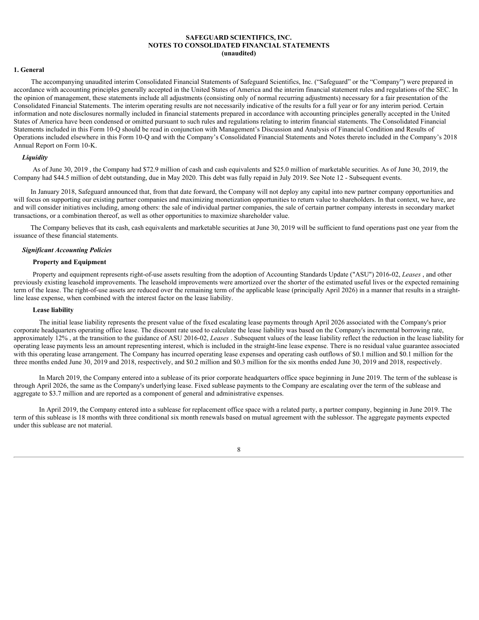#### <span id="page-7-0"></span>**1. General**

The accompanying unaudited interim Consolidated Financial Statements of Safeguard Scientifics, Inc. ("Safeguard" or the "Company") were prepared in accordance with accounting principles generally accepted in the United States of America and the interim financial statement rules and regulations of the SEC. In the opinion of management, these statements include all adjustments (consisting only of normal recurring adjustments) necessary for a fair presentation of the Consolidated Financial Statements. The interim operating results are not necessarily indicative of the results for a full year or for any interim period. Certain information and note disclosures normally included in financial statements prepared in accordance with accounting principles generally accepted in the United States of America have been condensed or omitted pursuant to such rules and regulations relating to interim financial statements. The Consolidated Financial Statements included in this Form 10-Q should be read in conjunction with Management's Discussion and Analysis of Financial Condition and Results of Operations included elsewhere in this Form 10-Q and with the Company's Consolidated Financial Statements and Notes thereto included in the Company's 2018 Annual Report on Form 10-K.

## *Liquidity*

As of June 30, 2019 , the Company had \$72.9 million of cash and cash equivalents and \$25.0 million of marketable securities. As of June 30, 2019, the Company had \$44.5 million of debt outstanding, due in May 2020. This debt was fully repaid in July 2019. See Note 12 - Subsequent events.

In January 2018, Safeguard announced that, from that date forward, the Company will not deploy any capital into new partner company opportunities and will focus on supporting our existing partner companies and maximizing monetization opportunities to return value to shareholders. In that context, we have, are and will consider initiatives including, among others: the sale of individual partner companies, the sale of certain partner company interests in secondary market transactions, or a combination thereof, as well as other opportunities to maximize shareholder value.

The Company believes that its cash, cash equivalents and marketable securities at June 30, 2019 will be sufficient to fund operations past one year from the issuance of these financial statements.

#### *Significant Accounting Policies*

# **Property and Equipment**

Property and equipment represents right-of-use assets resulting from the adoption of Accounting Standards Update ("ASU") 2016-02, *Leases* , and other previously existing leasehold improvements. The leasehold improvements were amortized over the shorter of the estimated useful lives or the expected remaining term of the lease. The right-of-use assets are reduced over the remaining term of the applicable lease (principally April 2026) in a manner that results in a straightline lease expense, when combined with the interest factor on the lease liability.

## **Lease liability**

The initial lease liability represents the present value of the fixed escalating lease payments through April 2026 associated with the Company's prior corporate headquarters operating office lease. The discount rate used to calculate the lease liability was based on the Company's incremental borrowing rate, approximately 12% , at the transition to the guidance of ASU 2016-02, *Leases* . Subsequent values of the lease liability reflect the reduction in the lease liability for operating lease payments less an amount representing interest, which is included in the straight-line lease expense. There is no residual value guarantee associated with this operating lease arrangement. The Company has incurred operating lease expenses and operating cash outflows of \$0.1 million and \$0.1 million for the three months ended June 30, 2019 and 2018, respectively, and \$0.2 million and \$0.3 million for the six months ended June 30, 2019 and 2018, respectively.

In March 2019, the Company entered into a sublease of its prior corporate headquarters office space beginning in June 2019. The term of the sublease is through April 2026, the same as the Company's underlying lease. Fixed sublease payments to the Company are escalating over the term of the sublease and aggregate to \$3.7 million and are reported as a component of general and administrative expenses.

In April 2019, the Company entered into a sublease for replacement office space with a related party, a partner company, beginning in June 2019. The term of this sublease is 18 months with three conditional six month renewals based on mutual agreement with the sublessor. The aggregate payments expected under this sublease are not material.

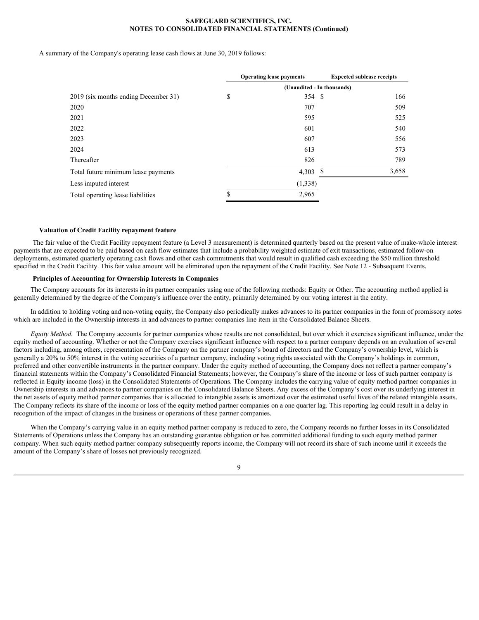A summary of the Company's operating lease cash flows at June 30, 2019 follows:

|                                      |     | <b>Operating lease payments</b> | <b>Expected sublease receipts</b> |  |  |  |  |  |  |
|--------------------------------------|-----|---------------------------------|-----------------------------------|--|--|--|--|--|--|
|                                      |     | (Unaudited - In thousands)      |                                   |  |  |  |  |  |  |
| 2019 (six months ending December 31) | JЭ. | 354 \$                          | 166                               |  |  |  |  |  |  |
| 2020                                 |     | 707                             | 509                               |  |  |  |  |  |  |
| 2021                                 |     | 595                             | 525                               |  |  |  |  |  |  |
| 2022                                 |     | 601                             | 540                               |  |  |  |  |  |  |
| 2023                                 |     | 607                             | 556                               |  |  |  |  |  |  |
| 2024                                 |     | 613                             | 573                               |  |  |  |  |  |  |
| Thereafter                           |     | 826                             | 789                               |  |  |  |  |  |  |
| Total future minimum lease payments  |     | 4,303<br>- 5                    | 3,658                             |  |  |  |  |  |  |
| Less imputed interest                |     | (1,338)                         |                                   |  |  |  |  |  |  |
| Total operating lease liabilities    |     | 2,965                           |                                   |  |  |  |  |  |  |
|                                      |     |                                 |                                   |  |  |  |  |  |  |

#### **Valuation of Credit Facility repayment feature**

The fair value of the Credit Facility repayment feature (a Level 3 measurement) is determined quarterly based on the present value of make-whole interest payments that are expected to be paid based on cash flow estimates that include a probability weighted estimate of exit transactions, estimated follow-on deployments, estimated quarterly operating cash flows and other cash commitments that would result in qualified cash exceeding the \$50 million threshold specified in the Credit Facility. This fair value amount will be eliminated upon the repayment of the Credit Facility. See Note 12 - Subsequent Events.

## **Principles of Accounting for Ownership Interests in Companies**

The Company accounts for its interests in its partner companies using one of the following methods: Equity or Other. The accounting method applied is generally determined by the degree of the Company's influence over the entity, primarily determined by our voting interest in the entity.

In addition to holding voting and non-voting equity, the Company also periodically makes advances to its partner companies in the form of promissory notes which are included in the Ownership interests in and advances to partner companies line item in the Consolidated Balance Sheets.

*Equity Method.* The Company accounts for partner companies whose results are not consolidated, but over which it exercises significant influence, under the equity method of accounting. Whether or not the Company exercises significant influence with respect to a partner company depends on an evaluation of several factors including, among others, representation of the Company on the partner company's board of directors and the Company's ownership level, which is generally a 20% to 50% interest in the voting securities of a partner company, including voting rights associated with the Company's holdings in common, preferred and other convertible instruments in the partner company. Under the equity method of accounting, the Company does not reflect a partner company's financial statements within the Company's Consolidated Financial Statements; however, the Company's share of the income or loss of such partner company is reflected in Equity income (loss) in the Consolidated Statements of Operations. The Company includes the carrying value of equity method partner companies in Ownership interests in and advances to partner companies on the Consolidated Balance Sheets. Any excess of the Company's cost over its underlying interest in the net assets of equity method partner companies that is allocated to intangible assets is amortized over the estimated useful lives of the related intangible assets. The Company reflects its share of the income or loss of the equity method partner companies on a one quarter lag. This reporting lag could result in a delay in recognition of the impact of changes in the business or operations of these partner companies.

When the Company's carrying value in an equity method partner company is reduced to zero, the Company records no further losses in its Consolidated Statements of Operations unless the Company has an outstanding guarantee obligation or has committed additional funding to such equity method partner company. When such equity method partner company subsequently reports income, the Company will not record its share of such income until it exceeds the amount of the Company's share of losses not previously recognized.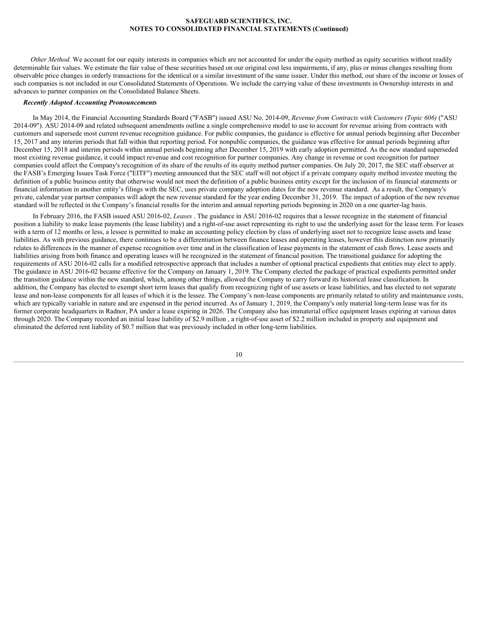*Other Method.* We account for our equity interests in companies which are not accounted for under the equity method as equity securities without readily determinable fair values. We estimate the fair value of these securities based on our original cost less impairments, if any, plus or minus changes resulting from observable price changes in orderly transactions for the identical or a similar investment of the same issuer. Under this method, our share of the income or losses of such companies is not included in our Consolidated Statements of Operations. We include the carrying value of these investments in Ownership interests in and advances to partner companies on the Consolidated Balance Sheets.

# *Recently Adopted Accounting Pronouncements*

In May 2014, the Financial Accounting Standards Board ("FASB") issued ASU No. 2014-09, *Revenue from Contracts with Customers (Topic 606)* ("ASU 2014-09"). ASU 2014-09 and related subsequent amendments outline a single comprehensive model to use to account for revenue arising from contracts with customers and supersede most current revenue recognition guidance. For public companies, the guidance is effective for annual periods beginning after December 15, 2017 and any interim periods that fall within that reporting period. For nonpublic companies, the guidance was effective for annual periods beginning after December 15, 2018 and interim periods within annual periods beginning after December 15, 2019 with early adoption permitted. As the new standard superseded most existing revenue guidance, it could impact revenue and cost recognition for partner companies. Any change in revenue or cost recognition for partner companies could affect the Company's recognition of its share of the results of its equity method partner companies. On July 20, 2017, the SEC staff observer at the FASB's Emerging Issues Task Force ("EITF") meeting announced that the SEC staff will not object if a private company equity method investee meeting the definition of a public business entity that otherwise would not meet the definition of a public business entity except for the inclusion of its financial statements or financial information in another entity's filings with the SEC, uses private company adoption dates for the new revenue standard. As a result, the Company's private, calendar year partner companies will adopt the new revenue standard for the year ending December 31, 2019. The impact of adoption of the new revenue standard will be reflected in the Company's financial results for the interim and annual reporting periods beginning in 2020 on a one quarter-lag basis.

In February 2016, the FASB issued ASU 2016-02, *Leases* . The guidance in ASU 2016-02 requires that a lessee recognize in the statement of financial position a liability to make lease payments (the lease liability) and a right-of-use asset representing its right to use the underlying asset for the lease term. For leases with a term of 12 months or less, a lessee is permitted to make an accounting policy election by class of underlying asset not to recognize lease assets and lease liabilities. As with previous guidance, there continues to be a differentiation between finance leases and operating leases, however this distinction now primarily relates to differences in the manner of expense recognition over time and in the classification of lease payments in the statement of cash flows. Lease assets and liabilities arising from both finance and operating leases will be recognized in the statement of financial position. The transitional guidance for adopting the requirements of ASU 2016-02 calls for a modified retrospective approach that includes a number of optional practical expedients that entities may elect to apply. The guidance in ASU 2016-02 became effective for the Company on January 1, 2019. The Company elected the package of practical expedients permitted under the transition guidance within the new standard, which, among other things, allowed the Company to carry forward its historical lease classification. In addition, the Company has elected to exempt short term leases that qualify from recognizing right of use assets or lease liabilities, and has elected to not separate lease and non-lease components for all leases of which it is the lessee. The Company's non-lease components are primarily related to utility and maintenance costs, which are typically variable in nature and are expensed in the period incurred. As of January 1, 2019, the Company's only material long-term lease was for its former corporate headquarters in Radnor, PA under a lease expiring in 2026. The Company also has immaterial office equipment leases expiring at various dates through 2020. The Company recorded an initial lease liability of \$2.9 million , a right-of-use asset of \$2.2 million included in property and equipment and eliminated the deferred rent liability of \$0.7 million that was previously included in other long-term liabilities.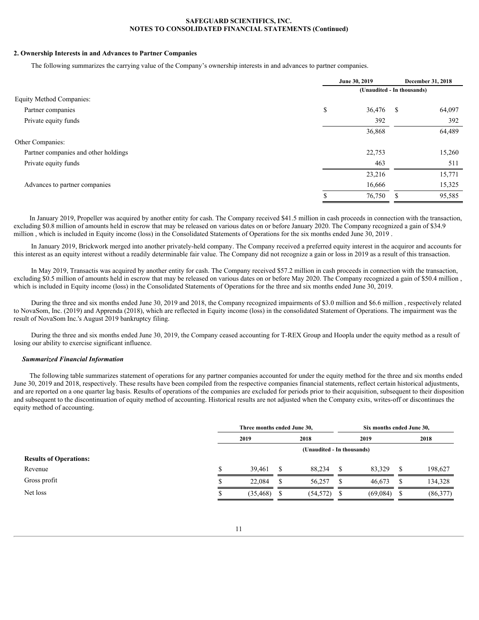# **2. Ownership Interests in and Advances to Partner Companies**

The following summarizes the carrying value of the Company's ownership interests in and advances to partner companies.

|                                      | June 30, 2019 |        | December 31, 2018          |        |  |  |
|--------------------------------------|---------------|--------|----------------------------|--------|--|--|
|                                      |               |        | (Unaudited - In thousands) |        |  |  |
| Equity Method Companies:             |               |        |                            |        |  |  |
| Partner companies                    | <sup>\$</sup> | 36,476 | -S                         | 64,097 |  |  |
| Private equity funds                 |               | 392    |                            | 392    |  |  |
|                                      |               | 36,868 |                            | 64,489 |  |  |
| Other Companies:                     |               |        |                            |        |  |  |
| Partner companies and other holdings |               | 22,753 |                            | 15,260 |  |  |
| Private equity funds                 |               | 463    |                            | 511    |  |  |
|                                      |               | 23,216 |                            | 15,771 |  |  |
| Advances to partner companies        |               | 16,666 |                            | 15,325 |  |  |
|                                      | -D            | 76,750 | S                          | 95,585 |  |  |

In January 2019, Propeller was acquired by another entity for cash. The Company received \$41.5 million in cash proceeds in connection with the transaction, excluding \$0.8 million of amounts held in escrow that may be released on various dates on or before January 2020. The Company recognized a gain of \$34.9 million , which is included in Equity income (loss) in the Consolidated Statements of Operations for the six months ended June 30, 2019 .

In January 2019, Brickwork merged into another privately-held company. The Company received a preferred equity interest in the acquiror and accounts for this interest as an equity interest without a readily determinable fair value. The Company did not recognize a gain or loss in 2019 as a result of this transaction.

In May 2019, Transactis was acquired by another entity for cash. The Company received \$57.2 million in cash proceeds in connection with the transaction, excluding \$0.5 million of amounts held in escrow that may be released on various dates on or before May 2020. The Company recognized a gain of \$50.4 million , which is included in Equity income (loss) in the Consolidated Statements of Operations for the three and six months ended June 30, 2019.

During the three and six months ended June 30, 2019 and 2018, the Company recognized impairments of \$3.0 million and \$6.6 million , respectively related to NovaSom, Inc. (2019) and Apprenda (2018), which are reflected in Equity income (loss) in the consolidated Statement of Operations. The impairment was the result of NovaSom Inc.'s August 2019 bankruptcy filing.

During the three and six months ended June 30, 2019, the Company ceased accounting for T-REX Group and Hoopla under the equity method as a result of losing our ability to exercise significant influence.

# *Summarized Financial Information*

The following table summarizes statement of operations for any partner companies accounted for under the equity method for the three and six months ended June 30, 2019 and 2018, respectively. These results have been compiled from the respective companies financial statements, reflect certain historical adjustments, and are reported on a one quarter lag basis. Results of operations of the companies are excluded for periods prior to their acquisition, subsequent to their disposition and subsequent to the discontinuation of equity method of accounting. Historical results are not adjusted when the Company exits, writes-off or discontinues the equity method of accounting.

|                               | Three months ended June 30, |                            | Six months ended June 30, |               |          |  |  |
|-------------------------------|-----------------------------|----------------------------|---------------------------|---------------|----------|--|--|
|                               | 2019                        | 2018                       | 2019                      |               | 2018     |  |  |
|                               |                             | (Unaudited - In thousands) |                           |               |          |  |  |
| <b>Results of Operations:</b> |                             |                            |                           |               |          |  |  |
| Revenue                       | 39.461                      | 88,234                     | 83,329                    |               | 198,627  |  |  |
| Gross profit                  | 22,084                      | 56,257                     | 46,673                    |               | 134,328  |  |  |
| Net loss                      | (35, 468)                   | $(54,572)$ \$              | (69,084)                  | $\mathcal{P}$ | (86,377) |  |  |
|                               |                             |                            |                           |               |          |  |  |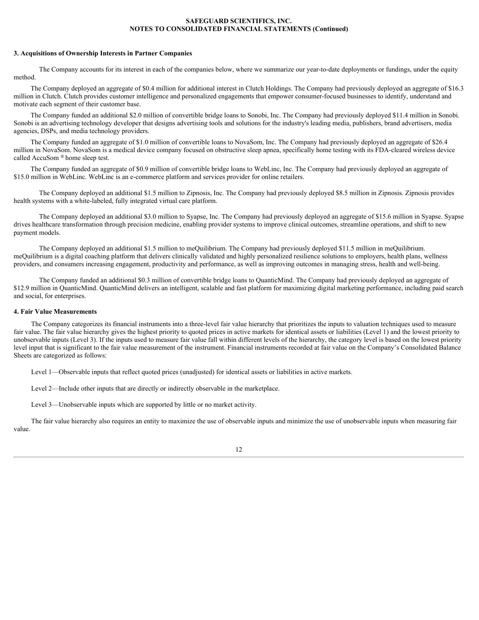## **3. Acquisitions of Ownership Interests in Partner Companies**

The Company accounts for its interest in each of the companies below, where we summarize our year-to-date deployments or fundings, under the equity method.

The Company deployed an aggregate of \$0.4 million for additional interest in Clutch Holdings. The Company had previously deployed an aggregate of \$16.3 million in Clutch. Clutch provides customer intelligence and personalized engagements that empower consumer-focused businesses to identify, understand and motivate each segment of their customer base.

The Company funded an additional \$2.0 million of convertible bridge loans to Sonobi, Inc. The Company had previously deployed \$11.4 million in Sonobi. Sonobi is an advertising technology developer that designs advertising tools and solutions for the industry's leading media, publishers, brand advertisers, media agencies, DSPs, and media technology providers.

The Company funded an aggregate of \$1.0 million of convertible loans to NovaSom, Inc. The Company had previously deployed an aggregate of \$26.4 million in NovaSom. NovaSom is a medical device company focused on obstructive sleep apnea, specifically home testing with its FDA-cleared wireless device called AccuSom ® home sleep test.

The Company funded an aggregate of \$0.9 million of convertible bridge loans to WebLinc, Inc. The Company had previously deployed an aggregate of \$15.0 million in WebLinc. WebLinc is an e-commerce platform and services provider for online retailers.

 The Company deployed an additional \$1.5 million to Zipnosis, Inc. The Company had previously deployed \$8.5 million in Zipnosis. Zipnosis provides health systems with a white-labeled, fully integrated virtual care platform.

The Company deployed an additional \$3.0 million to Syapse, Inc. The Company had previously deployed an aggregate of \$15.6 million in Syapse. Syapse drives healthcare transformation through precision medicine, enabling provider systems to improve clinical outcomes, streamline operations, and shift to new payment models.

The Company deployed an additional \$1.5 million to meQuilibrium. The Company had previously deployed \$11.5 million in meQuilibrium. meQuilibrium is a digital coaching platform that delivers clinically validated and highly personalized resilience solutions to employers, health plans, wellness providers, and consumers increasing engagement, productivity and performance, as well as improving outcomes in managing stress, health and well-being.

The Company funded an additional \$0.3 million of convertible bridge loans to QuanticMind. The Company had previously deployed an aggregate of \$12.9 million in QuanticMind. QuanticMind delivers an intelligent, scalable and fast platform for maximizing digital marketing performance, including paid search and social, for enterprises.

## **4. Fair Value Measurements**

The Company categorizes its financial instruments into a three-level fair value hierarchy that prioritizes the inputs to valuation techniques used to measure fair value. The fair value hierarchy gives the highest priority to quoted prices in active markets for identical assets or liabilities (Level 1) and the lowest priority to unobservable inputs (Level 3). If the inputs used to measure fair value fall within different levels of the hierarchy, the category level is based on the lowest priority level input that is significant to the fair value measurement of the instrument. Financial instruments recorded at fair value on the Company's Consolidated Balance Sheets are categorized as follows:

Level 1—Observable inputs that reflect quoted prices (unadjusted) for identical assets or liabilities in active markets.

Level 2—Include other inputs that are directly or indirectly observable in the marketplace.

Level 3—Unobservable inputs which are supported by little or no market activity.

The fair value hierarchy also requires an entity to maximize the use of observable inputs and minimize the use of unobservable inputs when measuring fair value.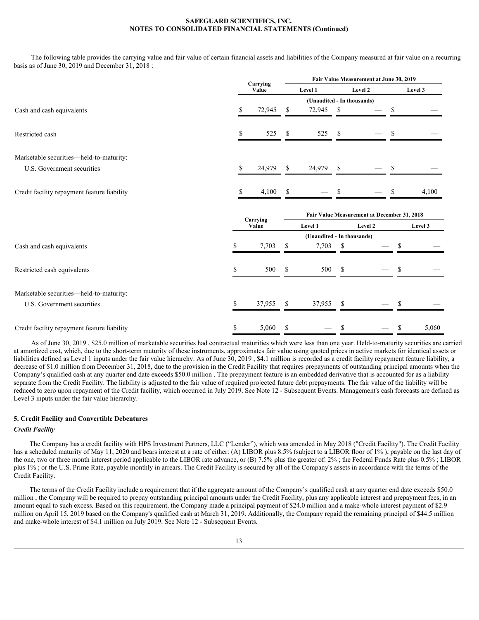The following table provides the carrying value and fair value of certain financial assets and liabilities of the Company measured at fair value on a recurring basis as of June 30, 2019 and December 31, 2018 :

|                                             | Carrying          |              |                            |    | Fair Value Measurement at June 30, 2019     |        |         |
|---------------------------------------------|-------------------|--------------|----------------------------|----|---------------------------------------------|--------|---------|
|                                             | Value             |              | Level 1                    |    | Level 2                                     |        | Level 3 |
|                                             |                   |              |                            |    | (Unaudited - In thousands)                  |        |         |
| Cash and cash equivalents                   | 72,945 \$         |              | 72,945 \$                  |    | $\overline{\phantom{0}}$                    | -S     |         |
|                                             |                   |              |                            |    |                                             |        |         |
| Restricted cash                             | 525               | S.           | 525 \$                     |    |                                             | -S     |         |
|                                             |                   |              |                            |    |                                             |        |         |
| Marketable securities-held-to-maturity:     |                   |              |                            |    |                                             |        |         |
| U.S. Government securities                  | 24,979            | $\mathbf{s}$ | 24,979 \$                  |    |                                             | -S     |         |
|                                             |                   |              |                            |    |                                             |        |         |
| Credit facility repayment feature liability | 4,100             | $\mathbf{s}$ | $\overline{\phantom{m}}$   | -8 |                                             | -\$    | 4,100   |
|                                             |                   |              |                            |    | Fair Value Measurement at December 31, 2018 |        |         |
|                                             | Carrying<br>Value |              | Level 1                    |    | Level 2                                     |        | Level 3 |
|                                             |                   |              | (Unaudited - In thousands) |    |                                             |        |         |
| Cash and cash equivalents                   | 7,703             | - \$         | $7,703$ \$                 |    | $\overline{\phantom{m}}$                    | - \$   |         |
|                                             |                   |              |                            |    |                                             |        |         |
| Restricted cash equivalents                 | 500               | $\mathbf{s}$ | 500 \$                     |    | $\overline{\phantom{a}}$                    | - S    |         |
| Marketable securities-held-to-maturity:     |                   |              |                            |    |                                             |        |         |
|                                             |                   |              |                            |    |                                             |        |         |
| U.S. Government securities                  | 37,955 \$         |              | 37,955 \$                  |    |                                             | $-$ \$ |         |
|                                             |                   |              |                            |    |                                             |        |         |

As of June 30, 2019 , \$25.0 million of marketable securities had contractual maturities which were less than one year. Held-to-maturity securities are carried at amortized cost, which, due to the short-term maturity of these instruments, approximates fair value using quoted prices in active markets for identical assets or liabilities defined as Level 1 inputs under the fair value hierarchy. As of June 30, 2019, \$4.1 million is recorded as a credit facility repayment feature liability, a decrease of \$1.0 million from December 31, 2018, due to the provision in the Credit Facility that requires prepayments of outstanding principal amounts when the Company's qualified cash at any quarter end date exceeds \$50.0 million . The prepayment feature is an embedded derivative that is accounted for as a liability separate from the Credit Facility. The liability is adjusted to the fair value of required projected future debt prepayments. The fair value of the liability will be reduced to zero upon repayment of the Credit facility, which occurred in July 2019. See Note 12 - Subsequent Events. Management's cash forecasts are defined as Level 3 inputs under the fair value hierarchy.

## **5. Credit Facility and Convertible Debentures**

## *Credit Facility*

The Company has a credit facility with HPS Investment Partners, LLC ("Lender"), which was amended in May 2018 ("Credit Facility"). The Credit Facility has a scheduled maturity of May 11, 2020 and bears interest at a rate of either: (A) LIBOR plus 8.5% (subject to a LIBOR floor of 1%), payable on the last day of the one, two or three month interest period applicable to the LIBOR rate advance, or (B) 7.5% plus the greater of: 2% ; the Federal Funds Rate plus 0.5% ; LIBOR plus 1% ; or the U.S. Prime Rate, payable monthly in arrears. The Credit Facility is secured by all of the Company's assets in accordance with the terms of the Credit Facility.

The terms of the Credit Facility include a requirement that if the aggregate amount of the Company's qualified cash at any quarter end date exceeds \$50.0 million, the Company will be required to prepay outstanding principal amounts under the Credit Facility, plus any applicable interest and prepayment fees, in an amount equal to such excess. Based on this requirement, the Company made a principal payment of \$24.0 million and a make-whole interest payment of \$2.9 million on April 15, 2019 based on the Company's qualified cash at March 31, 2019. Additionally, the Company repaid the remaining principal of \$44.5 million and make-whole interest of \$4.1 million on July 2019. See Note 12 - Subsequent Events.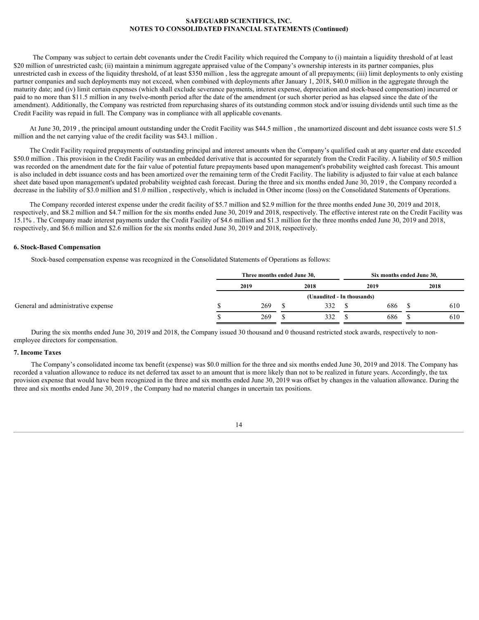The Company was subject to certain debt covenants under the Credit Facility which required the Company to (i) maintain a liquidity threshold of at least \$20 million of unrestricted cash; (ii) maintain a minimum aggregate appraised value of the Company's ownership interests in its partner companies, plus unrestricted cash in excess of the liquidity threshold, of at least \$350 million , less the aggregate amount of all prepayments; (iii) limit deployments to only existing partner companies and such deployments may not exceed, when combined with deployments after January 1, 2018, \$40.0 million in the aggregate through the maturity date; and (iv) limit certain expenses (which shall exclude severance payments, interest expense, depreciation and stock-based compensation) incurred or paid to no more than \$11.5 million in any twelve-month period after the date of the amendment (or such shorter period as has elapsed since the date of the amendment). Additionally, the Company was restricted from repurchasing shares of its outstanding common stock and/or issuing dividends until such time as the Credit Facility was repaid in full. The Company was in compliance with all applicable covenants.

At June 30, 2019 , the principal amount outstanding under the Credit Facility was \$44.5 million , the unamortized discount and debt issuance costs were \$1.5 million and the net carrying value of the credit facility was \$43.1 million .

The Credit Facility required prepayments of outstanding principal and interest amounts when the Company's qualified cash at any quarter end date exceeded \$50.0 million . This provision in the Credit Facility was an embedded derivative that is accounted for separately from the Credit Facility. A liability of \$0.5 million was recorded on the amendment date for the fair value of potential future prepayments based upon management's probability weighted cash forecast. This amount is also included in debt issuance costs and has been amortized over the remaining term of the Credit Facility. The liability is adjusted to fair value at each balance sheet date based upon management's updated probability weighted cash forecast. During the three and six months ended June 30, 2019 , the Company recorded a decrease in the liability of \$3.0 million and \$1.0 million , respectively, which is included in Other income (loss) on the Consolidated Statements of Operations.

The Company recorded interest expense under the credit facility of \$5.7 million and \$2.9 million for the three months ended June 30, 2019 and 2018, respectively, and \$8.2 million and \$4.7 million for the six months ended June 30, 2019 and 2018, respectively. The effective interest rate on the Credit Facility was 15.1% . The Company made interest payments under the Credit Facility of \$4.6 million and \$1.3 million for the three months ended June 30, 2019 and 2018, respectively, and \$6.6 million and \$2.6 million for the six months ended June 30, 2019 and 2018, respectively.

## **6. Stock-Based Compensation**

Stock-based compensation expense was recognized in the Consolidated Statements of Operations as follows:

|                                    | Three months ended June 30, |                            | Six months ended June 30, |     |  |      |  |  |
|------------------------------------|-----------------------------|----------------------------|---------------------------|-----|--|------|--|--|
|                                    | 2019                        | 2018                       | 2019                      |     |  | 2018 |  |  |
|                                    |                             | (Unaudited - In thousands) |                           |     |  |      |  |  |
| General and administrative expense | 269                         | 332                        |                           | 686 |  | 610  |  |  |
|                                    | 269                         | 332                        |                           | 686 |  | 610  |  |  |

During the six months ended June 30, 2019 and 2018, the Company issued 30 thousand and 0 thousand restricted stock awards, respectively to nonemployee directors for compensation.

# **7. Income Taxes**

The Company's consolidated income tax benefit (expense) was \$0.0 million for the three and six months ended June 30, 2019 and 2018. The Company has recorded a valuation allowance to reduce its net deferred tax asset to an amount that is more likely than not to be realized in future years. Accordingly, the tax provision expense that would have been recognized in the three and six months ended June 30, 2019 was offset by changes in the valuation allowance. During the three and six months ended June 30, 2019 , the Company had no material changes in uncertain tax positions.

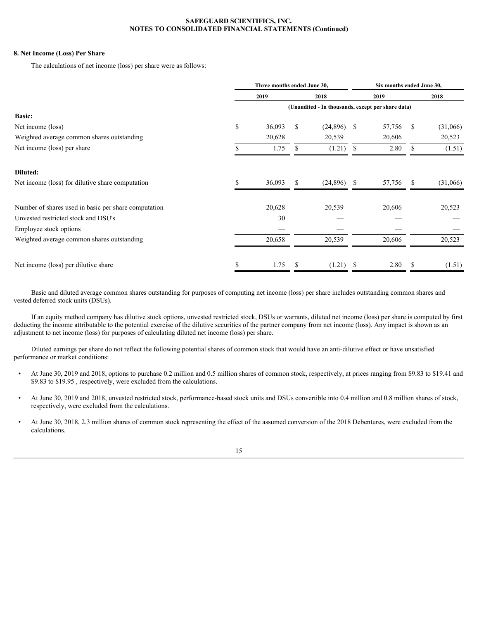# **8. Net Income (Loss) Per Share**

The calculations of net income (loss) per share were as follows:

|                                                      |    | Three months ended June 30, |      |               | Six months ended June 30,                         |           |              |          |  |
|------------------------------------------------------|----|-----------------------------|------|---------------|---------------------------------------------------|-----------|--------------|----------|--|
|                                                      |    | 2019<br>2018                |      |               | 2019<br>2018                                      |           |              |          |  |
|                                                      |    |                             |      |               | (Unaudited - In thousands, except per share data) |           |              |          |  |
| <b>Basic:</b>                                        |    |                             |      |               |                                                   |           |              |          |  |
| Net income (loss)                                    | D. | $36,093$ \$                 |      | $(24,896)$ \$ |                                                   | 57,756 \$ |              | (31,066) |  |
| Weighted average common shares outstanding           |    | 20,628                      |      | 20,539        |                                                   | 20,606    |              | 20,523   |  |
| Net income (loss) per share                          |    | 1.75                        | - \$ | $(1.21)$ \$   |                                                   | 2.80      | <sup>S</sup> | (1.51)   |  |
|                                                      |    |                             |      |               |                                                   |           |              |          |  |
| Diluted:                                             |    |                             |      |               |                                                   |           |              |          |  |
| Net income (loss) for dilutive share computation     |    | 36,093                      | - S  | $(24,896)$ \$ |                                                   | 57,756 \$ |              | (31,066) |  |
|                                                      |    |                             |      |               |                                                   |           |              |          |  |
| Number of shares used in basic per share computation |    | 20,628                      |      | 20,539        |                                                   | 20,606    |              | 20,523   |  |
| Unvested restricted stock and DSU's                  |    | 30                          |      |               |                                                   | __        |              |          |  |
| Employee stock options                               |    | $\overline{\phantom{0}}$    |      |               |                                                   |           |              |          |  |
| Weighted average common shares outstanding           |    | 20,658                      |      | 20,539        |                                                   | 20,606    |              | 20,523   |  |
|                                                      |    |                             |      |               |                                                   |           |              |          |  |
| Net income (loss) per dilutive share                 |    | 1.75                        | - S  | (1.21)        | - \$                                              | 2.80      | -S           | (1.51)   |  |
|                                                      |    |                             |      |               |                                                   |           |              |          |  |

Basic and diluted average common shares outstanding for purposes of computing net income (loss) per share includes outstanding common shares and vested deferred stock units (DSUs).

If an equity method company has dilutive stock options, unvested restricted stock, DSUs or warrants, diluted net income (loss) per share is computed by first deducting the income attributable to the potential exercise of the dilutive securities of the partner company from net income (loss). Any impact is shown as an adjustment to net income (loss) for purposes of calculating diluted net income (loss) per share.

Diluted earnings per share do not reflect the following potential shares of common stock that would have an anti-dilutive effect or have unsatisfied performance or market conditions:

- At June 30, 2019 and 2018, options to purchase 0.2 million and 0.5 million shares of common stock, respectively, at prices ranging from \$9.83 to \$19.41 and \$9.83 to \$19.95 , respectively, were excluded from the calculations.
- At June 30, 2019 and 2018, unvested restricted stock, performance-based stock units and DSUs convertible into 0.4 million and 0.8 million shares of stock, respectively, were excluded from the calculations.
- At June 30, 2018, 2.3 million shares of common stock representing the effect of the assumed conversion of the 2018 Debentures, were excluded from the calculations.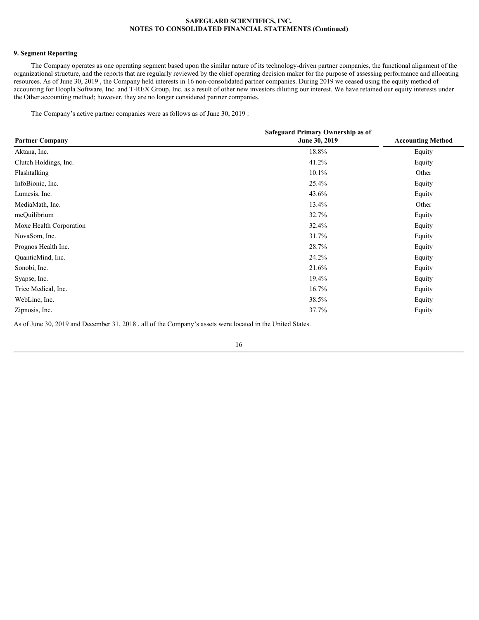# **9. Segment Reporting**

The Company operates as one operating segment based upon the similar nature of its technology-driven partner companies, the functional alignment of the organizational structure, and the reports that are regularly reviewed by the chief operating decision maker for the purpose of assessing performance and allocating resources. As of June 30, 2019 , the Company held interests in 16 non-consolidated partner companies. During 2019 we ceased using the equity method of accounting for Hoopla Software, Inc. and T-REX Group, Inc. as a result of other new investors diluting our interest. We have retained our equity interests under the Other accounting method; however, they are no longer considered partner companies.

The Company's active partner companies were as follows as of June 30, 2019 :

|                         | Safeguard Primary Ownership as of |                          |
|-------------------------|-----------------------------------|--------------------------|
| <b>Partner Company</b>  | June 30, 2019                     | <b>Accounting Method</b> |
| Aktana, Inc.            | 18.8%                             | Equity                   |
| Clutch Holdings, Inc.   | 41.2%                             | Equity                   |
| Flashtalking            | 10.1%                             | Other                    |
| InfoBionic, Inc.        | 25.4%                             | Equity                   |
| Lumesis, Inc.           | 43.6%                             | Equity                   |
| MediaMath, Inc.         | 13.4%                             | Other                    |
| meQuilibrium            | 32.7%                             | Equity                   |
| Moxe Health Corporation | 32.4%                             | Equity                   |
| NovaSom, Inc.           | 31.7%                             | Equity                   |
| Prognos Health Inc.     | 28.7%                             | Equity                   |
| QuanticMind, Inc.       | 24.2%                             | Equity                   |
| Sonobi, Inc.            | 21.6%                             | Equity                   |
| Syapse, Inc.            | 19.4%                             | Equity                   |
| Trice Medical, Inc.     | 16.7%                             | Equity                   |
| WebLinc, Inc.           | 38.5%                             | Equity                   |
| Zipnosis, Inc.          | 37.7%                             | Equity                   |
|                         |                                   |                          |

As of June 30, 2019 and December 31, 2018 , all of the Company's assets were located in the United States.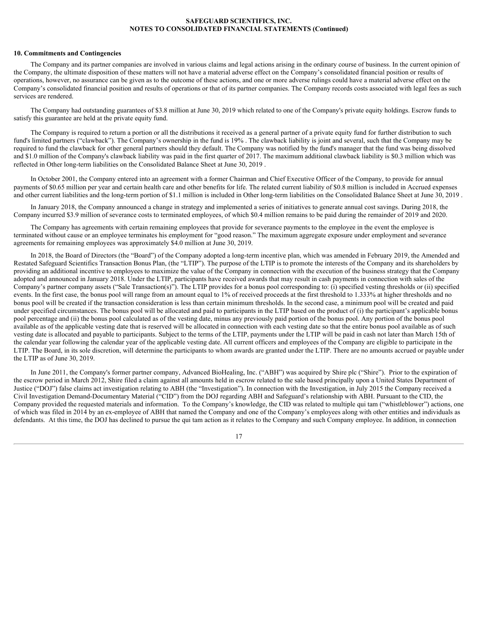#### **10. Commitments and Contingencies**

The Company and its partner companies are involved in various claims and legal actions arising in the ordinary course of business. In the current opinion of the Company, the ultimate disposition of these matters will not have a material adverse effect on the Company's consolidated financial position or results of operations, however, no assurance can be given as to the outcome of these actions, and one or more adverse rulings could have a material adverse effect on the Company's consolidated financial position and results of operations or that of its partner companies. The Company records costs associated with legal fees as such services are rendered.

The Company had outstanding guarantees of \$3.8 million at June 30, 2019 which related to one of the Company's private equity holdings. Escrow funds to satisfy this guarantee are held at the private equity fund.

The Company is required to return a portion or all the distributions it received as a general partner of a private equity fund for further distribution to such fund's limited partners ("clawback"). The Company's ownership in the fund is 19% . The clawback liability is joint and several, such that the Company may be required to fund the clawback for other general partners should they default. The Company was notified by the fund's manager that the fund was being dissolved and \$1.0 million of the Company's clawback liability was paid in the first quarter of 2017. The maximum additional clawback liability is \$0.3 million which was reflected in Other long-term liabilities on the Consolidated Balance Sheet at June 30, 2019 .

In October 2001, the Company entered into an agreement with a former Chairman and Chief Executive Officer of the Company, to provide for annual payments of \$0.65 million per year and certain health care and other benefits for life. The related current liability of \$0.8 million is included in Accrued expenses and other current liabilities and the long-term portion of \$1.1 million is included in Other long-term liabilities on the Consolidated Balance Sheet at June 30, 2019 .

In January 2018, the Company announced a change in strategy and implemented a series of initiatives to generate annual cost savings. During 2018, the Company incurred \$3.9 million of severance costs to terminated employees, of which \$0.4 million remains to be paid during the remainder of 2019 and 2020.

The Company has agreements with certain remaining employees that provide for severance payments to the employee in the event the employee is terminated without cause or an employee terminates his employment for "good reason." The maximum aggregate exposure under employment and severance agreements for remaining employees was approximately \$4.0 million at June 30, 2019.

In 2018, the Board of Directors (the "Board") of the Company adopted a long-term incentive plan, which was amended in February 2019, the Amended and Restated Safeguard Scientifics Transaction Bonus Plan, (the "LTIP"). The purpose of the LTIP is to promote the interests of the Company and its shareholders by providing an additional incentive to employees to maximize the value of the Company in connection with the execution of the business strategy that the Company adopted and announced in January 2018. Under the LTIP, participants have received awards that may result in cash payments in connection with sales of the Company's partner company assets ("Sale Transaction(s)"). The LTIP provides for a bonus pool corresponding to: (i) specified vesting thresholds or (ii) specified events. In the first case, the bonus pool will range from an amount equal to 1% of received proceeds at the first threshold to 1.333% at higher thresholds and no bonus pool will be created if the transaction consideration is less than certain minimum thresholds. In the second case, a minimum pool will be created and paid under specified circumstances. The bonus pool will be allocated and paid to participants in the LTIP based on the product of (i) the participant's applicable bonus pool percentage and (ii) the bonus pool calculated as of the vesting date, minus any previously paid portion of the bonus pool. Any portion of the bonus pool available as of the applicable vesting date that is reserved will be allocated in connection with each vesting date so that the entire bonus pool available as of such vesting date is allocated and payable to participants. Subject to the terms of the LTIP, payments under the LTIP will be paid in cash not later than March 15th of the calendar year following the calendar year of the applicable vesting date. All current officers and employees of the Company are eligible to participate in the LTIP. The Board, in its sole discretion, will determine the participants to whom awards are granted under the LTIP. There are no amounts accrued or payable under the LTIP as of June 30, 2019.

In June 2011, the Company's former partner company, Advanced BioHealing, Inc. ("ABH") was acquired by Shire plc ("Shire"). Prior to the expiration of the escrow period in March 2012, Shire filed a claim against all amounts held in escrow related to the sale based principally upon a United States Department of Justice ("DOJ") false claims act investigation relating to ABH (the "Investigation"). In connection with the Investigation, in July 2015 the Company received a Civil Investigation Demand-Documentary Material ("CID") from the DOJ regarding ABH and Safeguard's relationship with ABH. Pursuant to the CID, the Company provided the requested materials and information. To the Company's knowledge, the CID was related to multiple qui tam ("whistleblower") actions, one of which was filed in 2014 by an ex-employee of ABH that named the Company and one of the Company's employees along with other entities and individuals as defendants. At this time, the DOJ has declined to pursue the qui tam action as it relates to the Company and such Company employee. In addition, in connection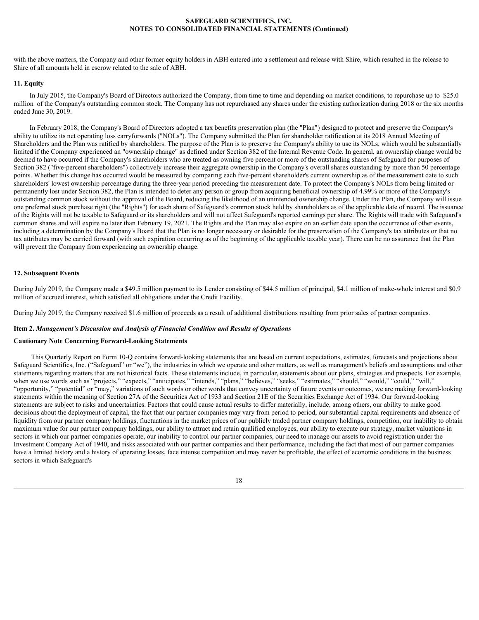with the above matters, the Company and other former equity holders in ABH entered into a settlement and release with Shire, which resulted in the release to Shire of all amounts held in escrow related to the sale of ABH.

## **11. Equity**

In July 2015, the Company's Board of Directors authorized the Company, from time to time and depending on market conditions, to repurchase up to \$25.0 million of the Company's outstanding common stock. The Company has not repurchased any shares under the existing authorization during 2018 or the six months ended June 30, 2019.

In February 2018, the Company's Board of Directors adopted a tax benefits preservation plan (the "Plan") designed to protect and preserve the Company's ability to utilize its net operating loss carryforwards ("NOLs"). The Company submitted the Plan for shareholder ratification at its 2018 Annual Meeting of Shareholders and the Plan was ratified by shareholders. The purpose of the Plan is to preserve the Company's ability to use its NOLs, which would be substantially limited if the Company experienced an "ownership change" as defined under Section 382 of the Internal Revenue Code. In general, an ownership change would be deemed to have occurred if the Company's shareholders who are treated as owning five percent or more of the outstanding shares of Safeguard for purposes of Section 382 ("five-percent shareholders") collectively increase their aggregate ownership in the Company's overall shares outstanding by more than 50 percentage points. Whether this change has occurred would be measured by comparing each five-percent shareholder's current ownership as of the measurement date to such shareholders' lowest ownership percentage during the three-year period preceding the measurement date. To protect the Company's NOLs from being limited or permanently lost under Section 382, the Plan is intended to deter any person or group from acquiring beneficial ownership of 4.99% or more of the Company's outstanding common stock without the approval of the Board, reducing the likelihood of an unintended ownership change. Under the Plan, the Company will issue one preferred stock purchase right (the "Rights") for each share of Safeguard's common stock held by shareholders as of the applicable date of record. The issuance of the Rights will not be taxable to Safeguard or its shareholders and will not affect Safeguard's reported earnings per share. The Rights will trade with Safeguard's common shares and will expire no later than February 19, 2021. The Rights and the Plan may also expire on an earlier date upon the occurrence of other events, including a determination by the Company's Board that the Plan is no longer necessary or desirable for the preservation of the Company's tax attributes or that no tax attributes may be carried forward (with such expiration occurring as of the beginning of the applicable taxable year). There can be no assurance that the Plan will prevent the Company from experiencing an ownership change.

## **12. Subsequent Events**

During July 2019, the Company made a \$49.5 million payment to its Lender consisting of \$44.5 million of principal, \$4.1 million of make-whole interest and \$0.9 million of accrued interest, which satisfied all obligations under the Credit Facility.

During July 2019, the Company received \$1.6 million of proceeds as a result of additional distributions resulting from prior sales of partner companies.

## <span id="page-17-0"></span>**Item 2.** *Management's Discussion and Analysis of Financial Condition and Results of Operations*

## **Cautionary Note Concerning Forward-Looking Statements**

This Quarterly Report on Form 10-Q contains forward-looking statements that are based on current expectations, estimates, forecasts and projections about Safeguard Scientifics, Inc. ("Safeguard" or "we"), the industries in which we operate and other matters, as well as management's beliefs and assumptions and other statements regarding matters that are not historical facts. These statements include, in particular, statements about our plans, strategies and prospects. For example, when we use words such as "projects," "expects," "anticipates," "intends," "plans," "believes," "seeks," "estimates," "should," "would," "could," "will," "opportunity," "potential" or "may," variations of such words or other words that convey uncertainty of future events or outcomes, we are making forward-looking statements within the meaning of Section 27A of the Securities Act of 1933 and Section 21E of the Securities Exchange Act of 1934. Our forward-looking statements are subject to risks and uncertainties. Factors that could cause actual results to differ materially, include, among others, our ability to make good decisions about the deployment of capital, the fact that our partner companies may vary from period to period, our substantial capital requirements and absence of liquidity from our partner company holdings, fluctuations in the market prices of our publicly traded partner company holdings, competition, our inability to obtain maximum value for our partner company holdings, our ability to attract and retain qualified employees, our ability to execute our strategy, market valuations in sectors in which our partner companies operate, our inability to control our partner companies, our need to manage our assets to avoid registration under the Investment Company Act of 1940, and risks associated with our partner companies and their performance, including the fact that most of our partner companies have a limited history and a history of operating losses, face intense competition and may never be profitable, the effect of economic conditions in the business sectors in which Safeguard's

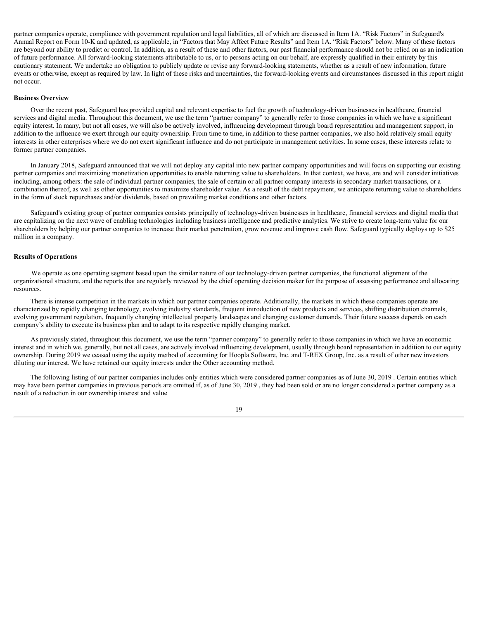partner companies operate, compliance with government regulation and legal liabilities, all of which are discussed in Item 1A. "Risk Factors" in Safeguard's Annual Report on Form 10-K and updated, as applicable, in "Factors that May Affect Future Results" and Item 1A. "Risk Factors" below. Many of these factors are beyond our ability to predict or control. In addition, as a result of these and other factors, our past financial performance should not be relied on as an indication of future performance. All forward-looking statements attributable to us, or to persons acting on our behalf, are expressly qualified in their entirety by this cautionary statement. We undertake no obligation to publicly update or revise any forward-looking statements, whether as a result of new information, future events or otherwise, except as required by law. In light of these risks and uncertainties, the forward-looking events and circumstances discussed in this report might not occur.

#### **Business Overview**

Over the recent past, Safeguard has provided capital and relevant expertise to fuel the growth of technology-driven businesses in healthcare, financial services and digital media. Throughout this document, we use the term "partner company" to generally refer to those companies in which we have a significant equity interest. In many, but not all cases, we will also be actively involved, influencing development through board representation and management support, in addition to the influence we exert through our equity ownership. From time to time, in addition to these partner companies, we also hold relatively small equity interests in other enterprises where we do not exert significant influence and do not participate in management activities. In some cases, these interests relate to former partner companies.

In January 2018, Safeguard announced that we will not deploy any capital into new partner company opportunities and will focus on supporting our existing partner companies and maximizing monetization opportunities to enable returning value to shareholders. In that context, we have, are and will consider initiatives including, among others: the sale of individual partner companies, the sale of certain or all partner company interests in secondary market transactions, or a combination thereof, as well as other opportunities to maximize shareholder value. As a result of the debt repayment, we anticipate returning value to shareholders in the form of stock repurchases and/or dividends, based on prevailing market conditions and other factors.

Safeguard's existing group of partner companies consists principally of technology-driven businesses in healthcare, financial services and digital media that are capitalizing on the next wave of enabling technologies including business intelligence and predictive analytics. We strive to create long-term value for our shareholders by helping our partner companies to increase their market penetration, grow revenue and improve cash flow. Safeguard typically deploys up to \$25 million in a company.

### **Results of Operations**

We operate as one operating segment based upon the similar nature of our technology-driven partner companies, the functional alignment of the organizational structure, and the reports that are regularly reviewed by the chief operating decision maker for the purpose of assessing performance and allocating resources.

There is intense competition in the markets in which our partner companies operate. Additionally, the markets in which these companies operate are characterized by rapidly changing technology, evolving industry standards, frequent introduction of new products and services, shifting distribution channels, evolving government regulation, frequently changing intellectual property landscapes and changing customer demands. Their future success depends on each company's ability to execute its business plan and to adapt to its respective rapidly changing market.

As previously stated, throughout this document, we use the term "partner company" to generally refer to those companies in which we have an economic interest and in which we, generally, but not all cases, are actively involved influencing development, usually through board representation in addition to our equity ownership. During 2019 we ceased using the equity method of accounting for Hoopla Software, Inc. and T-REX Group, Inc. as a result of other new investors diluting our interest. We have retained our equity interests under the Other accounting method.

The following listing of our partner companies includes only entities which were considered partner companies as of June 30, 2019 . Certain entities which may have been partner companies in previous periods are omitted if, as of June 30, 2019 , they had been sold or are no longer considered a partner company as a result of a reduction in our ownership interest and value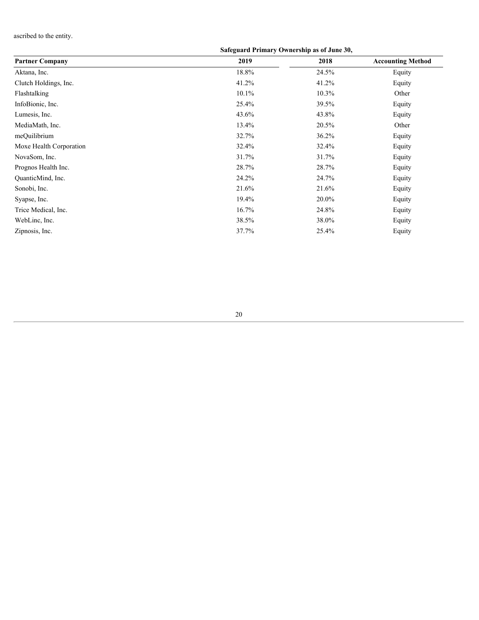ascribed to the entity.

# **Safeguard Primary Ownership as of June 30,**

| <b>Partner Company</b>  | 2019     | 2018  | <b>Accounting Method</b> |
|-------------------------|----------|-------|--------------------------|
| Aktana, Inc.            | 18.8%    | 24.5% | Equity                   |
| Clutch Holdings, Inc.   | 41.2%    | 41.2% | Equity                   |
| Flashtalking            | $10.1\%$ | 10.3% | Other                    |
| InfoBionic, Inc.        | 25.4%    | 39.5% | Equity                   |
| Lumesis, Inc.           | 43.6%    | 43.8% | Equity                   |
| MediaMath, Inc.         | 13.4%    | 20.5% | Other                    |
| meQuilibrium            | 32.7%    | 36.2% | Equity                   |
| Moxe Health Corporation | 32.4%    | 32.4% | Equity                   |
| NovaSom, Inc.           | 31.7%    | 31.7% | Equity                   |
| Prognos Health Inc.     | 28.7%    | 28.7% | Equity                   |
| QuanticMind, Inc.       | 24.2%    | 24.7% | Equity                   |
| Sonobi, Inc.            | 21.6%    | 21.6% | Equity                   |
| Syapse, Inc.            | 19.4%    | 20.0% | Equity                   |
| Trice Medical, Inc.     | 16.7%    | 24.8% | Equity                   |
| WebLinc, Inc.           | 38.5%    | 38.0% | Equity                   |
| Zipnosis, Inc.          | 37.7%    | 25.4% | Equity                   |
|                         |          |       |                          |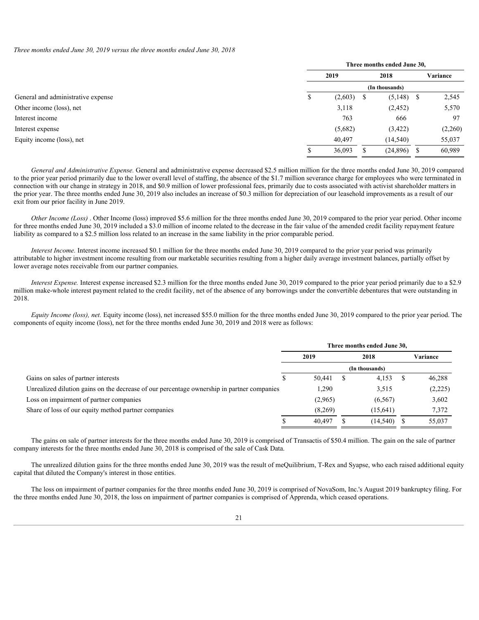*Three months ended June 30, 2019 versus the three months ended June 30, 2018*

|                                    | Three months ended June 30, |      |               |          |  |  |
|------------------------------------|-----------------------------|------|---------------|----------|--|--|
|                                    | 2019                        | 2018 |               | Variance |  |  |
|                                    | (In thousands)              |      |               |          |  |  |
| General and administrative expense | (2,603)                     | - 55 | $(5,148)$ \$  | 2,545    |  |  |
| Other income (loss), net           | 3,118                       |      | (2, 452)      | 5,570    |  |  |
| Interest income                    | 763                         |      | 666           | 97       |  |  |
| Interest expense                   | (5,682)                     |      | (3, 422)      | (2,260)  |  |  |
| Equity income (loss), net          | 40,497                      |      | (14, 540)     | 55,037   |  |  |
|                                    | 36,093                      |      | $(24,896)$ \$ | 60,989   |  |  |
|                                    |                             |      |               |          |  |  |

*General and Administrative Expense.* General and administrative expense decreased \$2.5 million million for the three months ended June 30, 2019 compared to the prior year period primarily due to the lower overall level of staffing, the absence of the \$1.7 million severance charge for employees who were terminated in connection with our change in strategy in 2018, and \$0.9 million of lower professional fees, primarily due to costs associated with activist shareholder matters in the prior year. The three months ended June 30, 2019 also includes an increase of \$0.3 million for depreciation of our leasehold improvements as a result of our exit from our prior facility in June 2019.

*Other Income (Loss)* . Other Income (loss) improved \$5.6 million for the three months ended June 30, 2019 compared to the prior year period. Other income for three months ended June 30, 2019 included a \$3.0 million of income related to the decrease in the fair value of the amended credit facility repayment feature liability as compared to a \$2.5 million loss related to an increase in the same liability in the prior comparable period.

*Interest Income.* Interest income increased \$0.1 million for the three months ended June 30, 2019 compared to the prior year period was primarily attributable to higher investment income resulting from our marketable securities resulting from a higher daily average investment balances, partially offset by lower average notes receivable from our partner companies.

*Interest Expense.* Interest expense increased \$2.3 million for the three months ended June 30, 2019 compared to the prior year period primarily due to a \$2.9 million make-whole interest payment related to the credit facility, net of the absence of any borrowings under the convertible debentures that were outstanding in 2018.

*Equity Income (loss), net.* Equity income (loss), net increased \$55.0 million for the three months ended June 30, 2019 compared to the prior year period. The components of equity income (loss), net for the three months ended June 30, 2019 and 2018 were as follows:

|                                                                                            | Three months ended June 30, |  |           |  |          |  |  |
|--------------------------------------------------------------------------------------------|-----------------------------|--|-----------|--|----------|--|--|
|                                                                                            | 2019                        |  | 2018      |  | Variance |  |  |
|                                                                                            | (In thousands)              |  |           |  |          |  |  |
| Gains on sales of partner interests                                                        | 50,441                      |  | 4,153     |  | 46,288   |  |  |
| Unrealized dilution gains on the decrease of our percentage ownership in partner companies | 1,290                       |  | 3,515     |  | (2,225)  |  |  |
| Loss on impairment of partner companies                                                    | (2,965)                     |  | (6, 567)  |  | 3,602    |  |  |
| Share of loss of our equity method partner companies                                       | (8,269)                     |  | (15, 641) |  | 7,372    |  |  |
|                                                                                            | 40,497                      |  | (14, 540) |  | 55,037   |  |  |

The gains on sale of partner interests for the three months ended June 30, 2019 is comprised of Transactis of \$50.4 million. The gain on the sale of partner company interests for the three months ended June 30, 2018 is comprised of the sale of Cask Data.

The unrealized dilution gains for the three months ended June 30, 2019 was the result of meQuilibrium, T-Rex and Syapse, who each raised additional equity capital that diluted the Company's interest in those entities.

The loss on impairment of partner companies for the three months ended June 30, 2019 is comprised of NovaSom, Inc.'s August 2019 bankruptcy filing. For the three months ended June 30, 2018, the loss on impairment of partner companies is comprised of Apprenda, which ceased operations.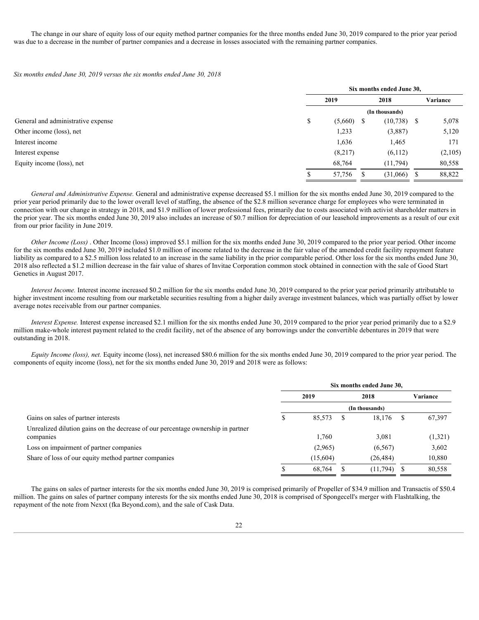The change in our share of equity loss of our equity method partner companies for the three months ended June 30, 2019 compared to the prior year period was due to a decrease in the number of partner companies and a decrease in losses associated with the remaining partner companies.

*Six months ended June 30, 2019 versus the six months ended June 30, 2018*

|                                    |    | Six months ended June 30, |                |          |  |  |  |
|------------------------------------|----|---------------------------|----------------|----------|--|--|--|
|                                    |    | 2018<br>2019              |                | Variance |  |  |  |
|                                    |    |                           | (In thousands) |          |  |  |  |
| General and administrative expense | ۰D | $(5,660)$ \$              | $(10,738)$ \$  | 5,078    |  |  |  |
| Other income (loss), net           |    | 1,233                     | (3,887)        | 5,120    |  |  |  |
| Interest income                    |    | 1,636                     | 1,465          | 171      |  |  |  |
| Interest expense                   |    | (8,217)                   | (6,112)        | (2,105)  |  |  |  |
| Equity income (loss), net          |    | 68,764                    | (11, 794)      | 80,558   |  |  |  |
|                                    |    | 57,756                    | $(31,066)$ .   | 88,822   |  |  |  |

*General and Administrative Expense.* General and administrative expense decreased \$5.1 million for the six months ended June 30, 2019 compared to the prior year period primarily due to the lower overall level of staffing, the absence of the \$2.8 million severance charge for employees who were terminated in connection with our change in strategy in 2018, and \$1.9 million of lower professional fees, primarily due to costs associated with activist shareholder matters in the prior year. The six months ended June 30, 2019 also includes an increase of \$0.7 million for depreciation of our leasehold improvements as a result of our exit from our prior facility in June 2019.

*Other Income (Loss)*. Other Income (loss) improved \$5.1 million for the six months ended June 30, 2019 compared to the prior year period. Other income for the six months ended June 30, 2019 included \$1.0 million of income related to the decrease in the fair value of the amended credit facility repayment feature liability as compared to a \$2.5 million loss related to an increase in the same liability in the prior comparable period. Other loss for the six months ended June 30, 2018 also reflected a \$1.2 million decrease in the fair value of shares of Invitae Corporation common stock obtained in connection with the sale of Good Start Genetics in August 2017.

*Interest Income*. Interest income increased \$0.2 million for the six months ended June 30, 2019 compared to the prior year period primarily attributable to higher investment income resulting from our marketable securities resulting from a higher daily average investment balances, which was partially offset by lower average notes receivable from our partner companies.

*Interest Expense.* Interest expense increased \$2.1 million for the six months ended June 30, 2019 compared to the prior year period primarily due to a \$2.9 million make-whole interest payment related to the credit facility, net of the absence of any borrowings under the convertible debentures in 2019 that were outstanding in 2018.

*Equity Income (loss), net.* Equity income (loss), net increased \$80.6 million for the six months ended June 30, 2019 compared to the prior year period. The components of equity income (loss), net for the six months ended June 30, 2019 and 2018 were as follows:

|                                                                                  | Six months ended June 30, |          |      |                |  |          |  |
|----------------------------------------------------------------------------------|---------------------------|----------|------|----------------|--|----------|--|
|                                                                                  | 2019                      |          | 2018 |                |  | Variance |  |
|                                                                                  |                           |          |      | (In thousands) |  |          |  |
| Gains on sales of partner interests                                              |                           | 85,573   |      | $18,176$ \$    |  | 67,397   |  |
| Unrealized dilution gains on the decrease of our percentage ownership in partner |                           |          |      |                |  |          |  |
| companies                                                                        |                           | 1,760    |      | 3,081          |  | (1,321)  |  |
| Loss on impairment of partner companies                                          |                           | (2,965)  |      | (6, 567)       |  | 3,602    |  |
| Share of loss of our equity method partner companies                             |                           | (15,604) |      | (26, 484)      |  | 10,880   |  |
|                                                                                  |                           | 68,764   |      | $(11,794)$ \$  |  | 80,558   |  |

The gains on sales of partner interests for the six months ended June 30, 2019 is comprised primarily of Propeller of \$34.9 million and Transactis of \$50.4 million. The gains on sales of partner company interests for the six months ended June 30, 2018 is comprised of Spongecell's merger with Flashtalking, the repayment of the note from Nexxt (fka Beyond.com), and the sale of Cask Data.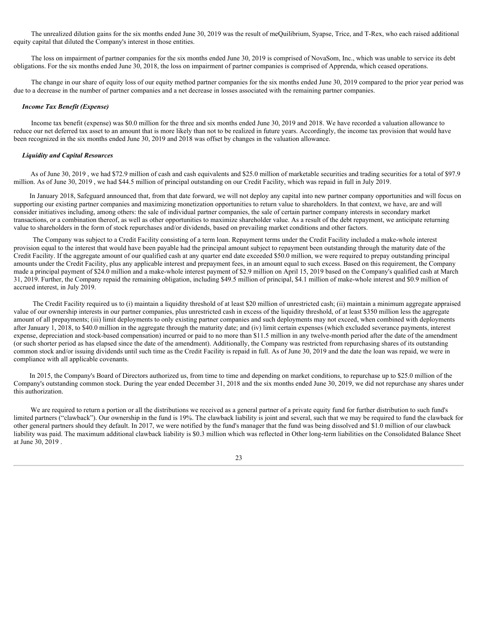The unrealized dilution gains for the six months ended June 30, 2019 was the result of meQuilibrium, Syapse, Trice, and T-Rex, who each raised additional equity capital that diluted the Company's interest in those entities.

The loss on impairment of partner companies for the six months ended June 30, 2019 is comprised of NovaSom, Inc., which was unable to service its debt obligations. For the six months ended June 30, 2018, the loss on impairment of partner companies is comprised of Apprenda, which ceased operations.

The change in our share of equity loss of our equity method partner companies for the six months ended June 30, 2019 compared to the prior year period was due to a decrease in the number of partner companies and a net decrease in losses associated with the remaining partner companies.

#### *Income Tax Benefit (Expense)*

Income tax benefit (expense) was \$0.0 million for the three and six months ended June 30, 2019 and 2018. We have recorded a valuation allowance to reduce our net deferred tax asset to an amount that is more likely than not to be realized in future years. Accordingly, the income tax provision that would have been recognized in the six months ended June 30, 2019 and 2018 was offset by changes in the valuation allowance.

# *Liquidity and Capital Resources*

As of June 30, 2019, we had \$72.9 million of cash and cash equivalents and \$25.0 million of marketable securities and trading securities for a total of \$97.9 million. As of June 30, 2019 , we had \$44.5 million of principal outstanding on our Credit Facility, which was repaid in full in July 2019.

In January 2018, Safeguard announced that, from that date forward, we will not deploy any capital into new partner company opportunities and will focus on supporting our existing partner companies and maximizing monetization opportunities to return value to shareholders. In that context, we have, are and will consider initiatives including, among others: the sale of individual partner companies, the sale of certain partner company interests in secondary market transactions, or a combination thereof, as well as other opportunities to maximize shareholder value. As a result of the debt repayment, we anticipate returning value to shareholders in the form of stock repurchases and/or dividends, based on prevailing market conditions and other factors.

The Company was subject to a Credit Facility consisting of a term loan. Repayment terms under the Credit Facility included a make-whole interest provision equal to the interest that would have been payable had the principal amount subject to repayment been outstanding through the maturity date of the Credit Facility. If the aggregate amount of our qualified cash at any quarter end date exceeded \$50.0 million, we were required to prepay outstanding principal amounts under the Credit Facility, plus any applicable interest and prepayment fees, in an amount equal to such excess. Based on this requirement, the Company made a principal payment of \$24.0 million and a make-whole interest payment of \$2.9 million on April 15, 2019 based on the Company's qualified cash at March 31, 2019. Further, the Company repaid the remaining obligation, including \$49.5 million of principal, \$4.1 million of make-whole interest and \$0.9 million of accrued interest, in July 2019.

The Credit Facility required us to (i) maintain a liquidity threshold of at least \$20 million of unrestricted cash; (ii) maintain a minimum aggregate appraised value of our ownership interests in our partner companies, plus unrestricted cash in excess of the liquidity threshold, of at least \$350 million less the aggregate amount of all prepayments; (iii) limit deployments to only existing partner companies and such deployments may not exceed, when combined with deployments after January 1, 2018, to \$40.0 million in the aggregate through the maturity date; and (iv) limit certain expenses (which excluded severance payments, interest expense, depreciation and stock-based compensation) incurred or paid to no more than \$11.5 million in any twelve-month period after the date of the amendment (or such shorter period as has elapsed since the date of the amendment). Additionally, the Company was restricted from repurchasing shares of its outstanding common stock and/or issuing dividends until such time as the Credit Facility is repaid in full. As of June 30, 2019 and the date the loan was repaid, we were in compliance with all applicable covenants.

In 2015, the Company's Board of Directors authorized us, from time to time and depending on market conditions, to repurchase up to \$25.0 million of the Company's outstanding common stock. During the year ended December 31, 2018 and the six months ended June 30, 2019, we did not repurchase any shares under this authorization.

We are required to return a portion or all the distributions we received as a general partner of a private equity fund for further distribution to such fund's limited partners ("clawback"). Our ownership in the fund is 19%. The clawback liability is joint and several, such that we may be required to fund the clawback for other general partners should they default. In 2017, we were notified by the fund's manager that the fund was being dissolved and \$1.0 million of our clawback liability was paid. The maximum additional clawback liability is \$0.3 million which was reflected in Other long-term liabilities on the Consolidated Balance Sheet at June 30, 2019 .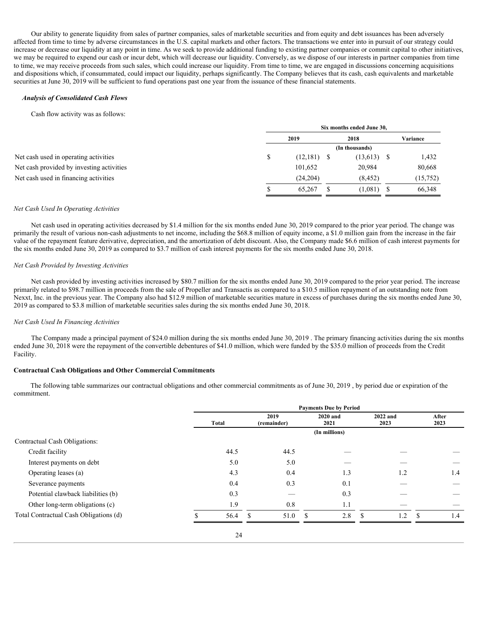Our ability to generate liquidity from sales of partner companies, sales of marketable securities and from equity and debt issuances has been adversely affected from time to time by adverse circumstances in the U.S. capital markets and other factors. The transactions we enter into in pursuit of our strategy could increase or decrease our liquidity at any point in time. As we seek to provide additional funding to existing partner companies or commit capital to other initiatives, we may be required to expend our cash or incur debt, which will decrease our liquidity. Conversely, as we dispose of our interests in partner companies from time to time, we may receive proceeds from such sales, which could increase our liquidity. From time to time, we are engaged in discussions concerning acquisitions and dispositions which, if consummated, could impact our liquidity, perhaps significantly. The Company believes that its cash, cash equivalents and marketable securities at June 30, 2019 will be sufficient to fund operations past one year from the issuance of these financial statements.

#### *Analysis of Consolidated Cash Flows*

#### Cash flow activity was as follows:

|                                           |    | Six months ended June 30, |  |                |  |          |  |  |
|-------------------------------------------|----|---------------------------|--|----------------|--|----------|--|--|
|                                           |    | 2019                      |  | 2018           |  | Variance |  |  |
|                                           |    |                           |  | (In thousands) |  |          |  |  |
| Net cash used in operating activities     | ۰D | $(12,181)$ \$             |  | $(13,613)$ \$  |  | 1,432    |  |  |
| Net cash provided by investing activities |    | 101,652                   |  | 20,984         |  | 80,668   |  |  |
| Net cash used in financing activities     |    | (24, 204)                 |  | (8, 452)       |  | (15,752) |  |  |
|                                           |    | 65,267                    |  | $1,081$ \$     |  | 66,348   |  |  |
|                                           |    |                           |  |                |  |          |  |  |

## *Net Cash Used In Operating Activities*

Net cash used in operating activities decreased by \$1.4 million for the six months ended June 30, 2019 compared to the prior year period. The change was primarily the result of various non-cash adjustments to net income, including the \$68.8 million of equity income, a \$1.0 million gain from the increase in the fair value of the repayment feature derivative, depreciation, and the amortization of debt discount. Also, the Company made \$6.6 million of cash interest payments for the six months ended June 30, 2019 as compared to \$3.7 million of cash interest payments for the six months ended June 30, 2018.

## *Net Cash Provided by Investing Activities*

Net cash provided by investing activities increased by \$80.7 million for the six months ended June 30, 2019 compared to the prior year period. The increase primarily related to \$98.7 million in proceeds from the sale of Propeller and Transactis as compared to a \$10.5 million repayment of an outstanding note from Nexxt, Inc. in the previous year. The Company also had \$12.9 million of marketable securities mature in excess of purchases during the six months ended June 30, 2019 as compared to \$3.8 million of marketable securities sales during the six months ended June 30, 2018.

## *Net Cash Used In Financing Activities*

The Company made a principal payment of \$24.0 million during the six months ended June 30, 2019 . The primary financing activities during the six months ended June 30, 2018 were the repayment of the convertible debentures of \$41.0 million, which were funded by the \$35.0 million of proceeds from the Credit Facility.

## **Contractual Cash Obligations and Other Commercial Commitments**

The following table summarizes our contractual obligations and other commercial commitments as of June 30, 2019 , by period due or expiration of the commitment.

|                                        | <b>Payments Due by Period</b> |                     |                                 |                                 |                                 |  |  |  |  |  |
|----------------------------------------|-------------------------------|---------------------|---------------------------------|---------------------------------|---------------------------------|--|--|--|--|--|
|                                        | Total                         | 2019<br>(remainder) | 2020 and<br>2021                | 2022 and<br>2023                | After<br>2023                   |  |  |  |  |  |
|                                        |                               |                     | (In millions)                   |                                 |                                 |  |  |  |  |  |
| Contractual Cash Obligations:          |                               |                     |                                 |                                 |                                 |  |  |  |  |  |
| Credit facility                        | 44.5                          | 44.5                |                                 |                                 |                                 |  |  |  |  |  |
| Interest payments on debt              | 5.0                           | 5.0                 | $\hspace{0.1mm}-\hspace{0.1mm}$ |                                 | $\hspace{0.1mm}-\hspace{0.1mm}$ |  |  |  |  |  |
| Operating leases (a)                   | 4.3                           | 0.4                 | 1.3                             | 1.2                             | 1.4                             |  |  |  |  |  |
| Severance payments                     | 0.4                           | 0.3                 | 0.1                             | $\hspace{0.1mm}-\hspace{0.1mm}$ | $\hspace{0.1mm}-\hspace{0.1mm}$ |  |  |  |  |  |
| Potential clawback liabilities (b)     | 0.3                           |                     | 0.3                             |                                 |                                 |  |  |  |  |  |
| Other long-term obligations (c)        | 1.9                           | 0.8                 | -1.1                            | $\hspace{0.1mm}-\hspace{0.1mm}$ |                                 |  |  |  |  |  |
| Total Contractual Cash Obligations (d) | 56.4                          | 51.0                | 2.8                             | 1.2                             | 1.4                             |  |  |  |  |  |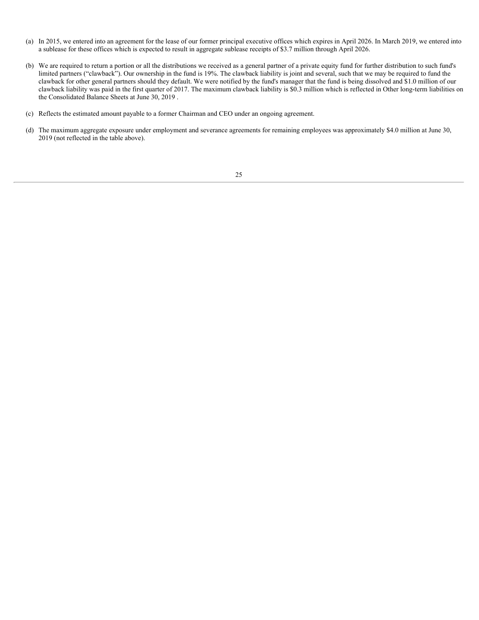- (a) In 2015, we entered into an agreement for the lease of our former principal executive offices which expires in April 2026. In March 2019, we entered into a sublease for these offices which is expected to result in aggregate sublease receipts of \$3.7 million through April 2026.
- (b) We are required to return a portion or all the distributions we received as a general partner of a private equity fund for further distribution to such fund's limited partners ("clawback"). Our ownership in the fund is 19%. The clawback liability is joint and several, such that we may be required to fund the clawback for other general partners should they default. We were notified by the fund's manager that the fund is being dissolved and \$1.0 million of our clawback liability was paid in the first quarter of 2017. The maximum clawback liability is \$0.3 million which is reflected in Other long-term liabilities on the Consolidated Balance Sheets at June 30, 2019 .
- (c) Reflects the estimated amount payable to a former Chairman and CEO under an ongoing agreement.
- (d) The maximum aggregate exposure under employment and severance agreements for remaining employees was approximately \$4.0 million at June 30, 2019 (not reflected in the table above).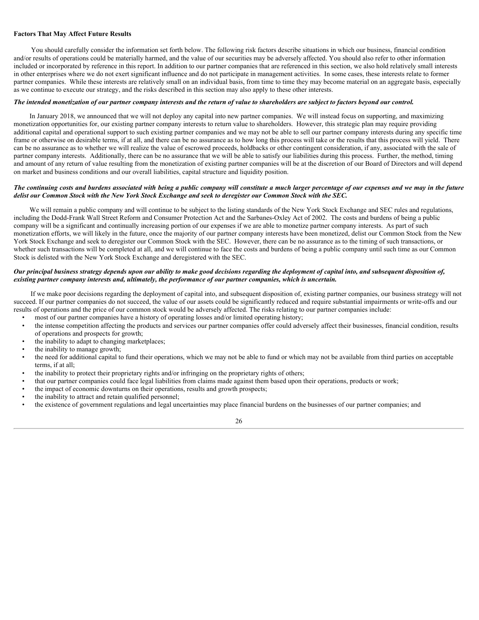## **Factors That May Affect Future Results**

You should carefully consider the information set forth below. The following risk factors describe situations in which our business, financial condition and/or results of operations could be materially harmed, and the value of our securities may be adversely affected. You should also refer to other information included or incorporated by reference in this report. In addition to our partner companies that are referenced in this section, we also hold relatively small interests in other enterprises where we do not exert significant influence and do not participate in management activities. In some cases, these interests relate to former partner companies. While these interests are relatively small on an individual basis, from time to time they may become material on an aggregate basis, especially as we continue to execute our strategy, and the risks described in this section may also apply to these other interests.

# *The intended monetization of our partner company interests and the return of value to shareholders are subject to factors beyond our control.*

In January 2018, we announced that we will not deploy any capital into new partner companies. We will instead focus on supporting, and maximizing monetization opportunities for, our existing partner company interests to return value to shareholders. However, this strategic plan may require providing additional capital and operational support to such existing partner companies and we may not be able to sell our partner company interests during any specific time frame or otherwise on desirable terms, if at all, and there can be no assurance as to how long this process will take or the results that this process will yield. There can be no assurance as to whether we will realize the value of escrowed proceeds, holdbacks or other contingent consideration, if any, associated with the sale of partner company interests. Additionally, there can be no assurance that we will be able to satisfy our liabilities during this process. Further, the method, timing and amount of any return of value resulting from the monetization of existing partner companies will be at the discretion of our Board of Directors and will depend on market and business conditions and our overall liabilities, capital structure and liquidity position.

## *The continuing costs and burdens associated with being a public company will constitute a much larger percentage of our expenses and we may in the future delist our Common Stock with the New York Stock Exchange and seek to deregister our Common Stock with the SEC.*

We will remain a public company and will continue to be subject to the listing standards of the New York Stock Exchange and SEC rules and regulations, including the Dodd-Frank Wall Street Reform and Consumer Protection Act and the Sarbanes-Oxley Act of 2002. The costs and burdens of being a public company will be a significant and continually increasing portion of our expenses if we are able to monetize partner company interests. As part of such monetization efforts, we will likely in the future, once the majority of our partner company interests have been monetized, delist our Common Stock from the New York Stock Exchange and seek to deregister our Common Stock with the SEC. However, there can be no assurance as to the timing of such transactions, or whether such transactions will be completed at all, and we will continue to face the costs and burdens of being a public company until such time as our Common Stock is delisted with the New York Stock Exchange and deregistered with the SEC.

# *Our principal business strategy depends upon our ability to make good decisions regarding the deployment of capital into, and subsequent disposition of, existing partner company interests and, ultimately, the performance of our partner companies, which is uncertain.*

If we make poor decisions regarding the deployment of capital into, and subsequent disposition of, existing partner companies, our business strategy will not succeed. If our partner companies do not succeed, the value of our assets could be significantly reduced and require substantial impairments or write-offs and our results of operations and the price of our common stock would be adversely affected. The risks relating to our partner companies include:

- most of our partner companies have a history of operating losses and/or limited operating history;
- the intense competition affecting the products and services our partner companies offer could adversely affect their businesses, financial condition, results of operations and prospects for growth;
- the inability to adapt to changing marketplaces;
- the inability to manage growth;
- the need for additional capital to fund their operations, which we may not be able to fund or which may not be available from third parties on acceptable terms, if at all;
- the inability to protect their proprietary rights and/or infringing on the proprietary rights of others;
- that our partner companies could face legal liabilities from claims made against them based upon their operations, products or work;
- the impact of economic downturns on their operations, results and growth prospects;
- the inability to attract and retain qualified personnel;
- the existence of government regulations and legal uncertainties may place financial burdens on the businesses of our partner companies; and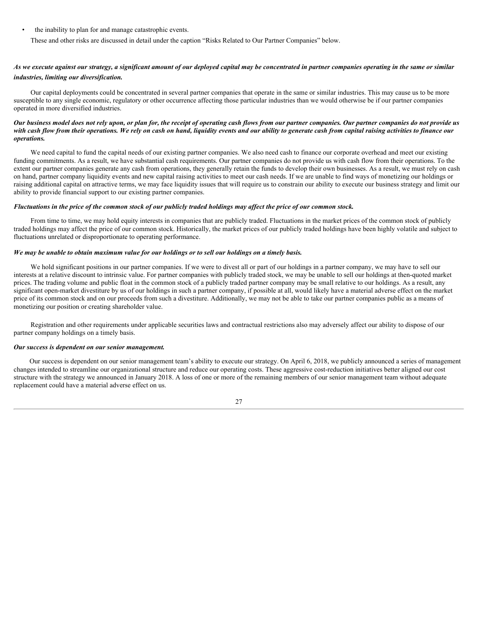• the inability to plan for and manage catastrophic events.

These and other risks are discussed in detail under the caption "Risks Related to Our Partner Companies" below.

# *As we execute against our strategy, a significant amount of our deployed capital may be concentrated in partner companies operating in the same or similar industries, limiting our diversification.*

Our capital deployments could be concentrated in several partner companies that operate in the same or similar industries. This may cause us to be more susceptible to any single economic, regulatory or other occurrence affecting those particular industries than we would otherwise be if our partner companies operated in more diversified industries.

## *Our business model does not rely upon, or plan for, the receipt of operating cash flows from our partner companies. Our partner companies do not provide us with cash flow from their operations. We rely on cash on hand, liquidity events and our ability to generate cash from capital raising activities to finance our operations.*

We need capital to fund the capital needs of our existing partner companies. We also need cash to finance our corporate overhead and meet our existing funding commitments. As a result, we have substantial cash requirements. Our partner companies do not provide us with cash flow from their operations. To the extent our partner companies generate any cash from operations, they generally retain the funds to develop their own businesses. As a result, we must rely on cash on hand, partner company liquidity events and new capital raising activities to meet our cash needs. If we are unable to find ways of monetizing our holdings or raising additional capital on attractive terms, we may face liquidity issues that will require us to constrain our ability to execute our business strategy and limit our ability to provide financial support to our existing partner companies.

# *Fluctuations in the price of the common stock of our publicly traded holdings may affect the price of our common stock.*

From time to time, we may hold equity interests in companies that are publicly traded. Fluctuations in the market prices of the common stock of publicly traded holdings may affect the price of our common stock. Historically, the market prices of our publicly traded holdings have been highly volatile and subject to fluctuations unrelated or disproportionate to operating performance.

## *We may be unable to obtain maximum value for our holdings or to sell our holdings on a timely basis.*

We hold significant positions in our partner companies. If we were to divest all or part of our holdings in a partner company, we may have to sell our interests at a relative discount to intrinsic value. For partner companies with publicly traded stock, we may be unable to sell our holdings at then-quoted market prices. The trading volume and public float in the common stock of a publicly traded partner company may be small relative to our holdings. As a result, any significant open-market divestiture by us of our holdings in such a partner company, if possible at all, would likely have a material adverse effect on the market price of its common stock and on our proceeds from such a divestiture. Additionally, we may not be able to take our partner companies public as a means of monetizing our position or creating shareholder value.

Registration and other requirements under applicable securities laws and contractual restrictions also may adversely affect our ability to dispose of our partner company holdings on a timely basis.

#### *Our success is dependent on our senior management.*

Our success is dependent on our senior management team's ability to execute our strategy. On April 6, 2018, we publicly announced a series of management changes intended to streamline our organizational structure and reduce our operating costs. These aggressive cost-reduction initiatives better aligned our cost structure with the strategy we announced in January 2018. A loss of one or more of the remaining members of our senior management team without adequate replacement could have a material adverse effect on us.

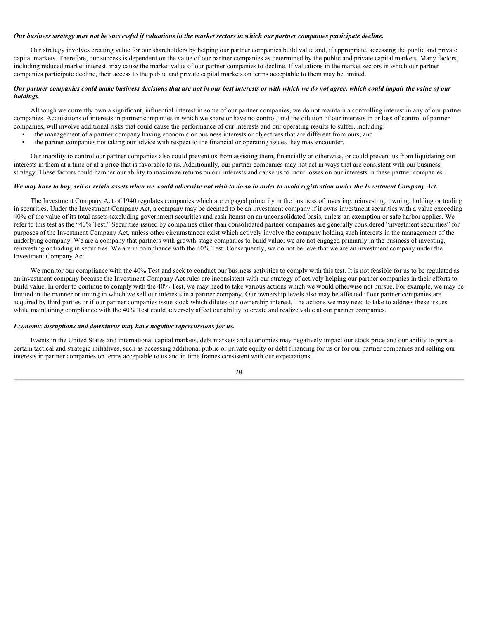#### *Our business strategy may not be successful if valuations in the market sectors in which our partner companies participate decline.*

Our strategy involves creating value for our shareholders by helping our partner companies build value and, if appropriate, accessing the public and private capital markets. Therefore, our success is dependent on the value of our partner companies as determined by the public and private capital markets. Many factors, including reduced market interest, may cause the market value of our partner companies to decline. If valuations in the market sectors in which our partner companies participate decline, their access to the public and private capital markets on terms acceptable to them may be limited.

#### *Our partner companies could make business decisions that are not in our best interests or with which we do not agree, which could impair the value of our holdings.*

Although we currently own a significant, influential interest in some of our partner companies, we do not maintain a controlling interest in any of our partner companies. Acquisitions of interests in partner companies in which we share or have no control, and the dilution of our interests in or loss of control of partner companies, will involve additional risks that could cause the performance of our interests and our operating results to suffer, including:

- the management of a partner company having economic or business interests or objectives that are different from ours; and
- the partner companies not taking our advice with respect to the financial or operating issues they may encounter.

Our inability to control our partner companies also could prevent us from assisting them, financially or otherwise, or could prevent us from liquidating our interests in them at a time or at a price that is favorable to us. Additionally, our partner companies may not act in ways that are consistent with our business strategy. These factors could hamper our ability to maximize returns on our interests and cause us to incur losses on our interests in these partner companies.

## *We may have to buy, sell or retain assets when we would otherwise not wish to do so in order to avoid registration under the Investment Company Act.*

The Investment Company Act of 1940 regulates companies which are engaged primarily in the business of investing, reinvesting, owning, holding or trading in securities. Under the Investment Company Act, a company may be deemed to be an investment company if it owns investment securities with a value exceeding 40% of the value of its total assets (excluding government securities and cash items) on an unconsolidated basis, unless an exemption or safe harbor applies. We refer to this test as the "40% Test." Securities issued by companies other than consolidated partner companies are generally considered "investment securities" for purposes of the Investment Company Act, unless other circumstances exist which actively involve the company holding such interests in the management of the underlying company. We are a company that partners with growth-stage companies to build value; we are not engaged primarily in the business of investing, reinvesting or trading in securities. We are in compliance with the 40% Test. Consequently, we do not believe that we are an investment company under the Investment Company Act.

We monitor our compliance with the 40% Test and seek to conduct our business activities to comply with this test. It is not feasible for us to be regulated as an investment company because the Investment Company Act rules are inconsistent with our strategy of actively helping our partner companies in their efforts to build value. In order to continue to comply with the 40% Test, we may need to take various actions which we would otherwise not pursue. For example, we may be limited in the manner or timing in which we sell our interests in a partner company. Our ownership levels also may be affected if our partner companies are acquired by third parties or if our partner companies issue stock which dilutes our ownership interest. The actions we may need to take to address these issues while maintaining compliance with the 40% Test could adversely affect our ability to create and realize value at our partner companies.

#### *Economic disruptions and downturns may have negative repercussions for us.*

Events in the United States and international capital markets, debt markets and economies may negatively impact our stock price and our ability to pursue certain tactical and strategic initiatives, such as accessing additional public or private equity or debt financing for us or for our partner companies and selling our interests in partner companies on terms acceptable to us and in time frames consistent with our expectations.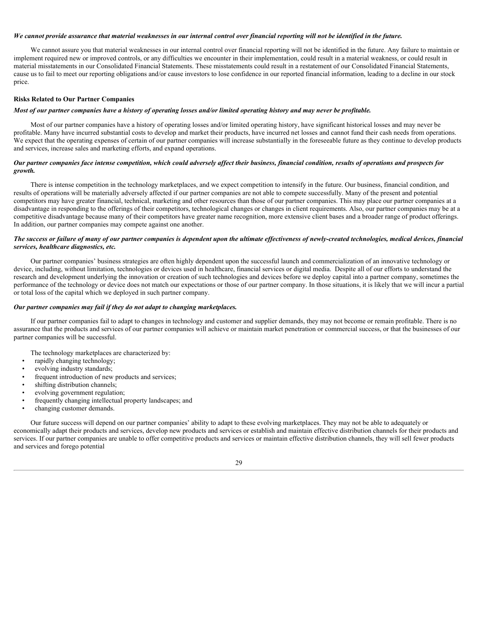#### *We cannot provide assurance that material weaknesses in our internal control over financial reporting will not be identified in the future.*

We cannot assure you that material weaknesses in our internal control over financial reporting will not be identified in the future. Any failure to maintain or implement required new or improved controls, or any difficulties we encounter in their implementation, could result in a material weakness, or could result in material misstatements in our Consolidated Financial Statements. These misstatements could result in a restatement of our Consolidated Financial Statements, cause us to fail to meet our reporting obligations and/or cause investors to lose confidence in our reported financial information, leading to a decline in our stock price.

#### **Risks Related to Our Partner Companies**

# *Most of our partner companies have a history of operating losses and/or limited operating history and may never be profitable.*

Most of our partner companies have a history of operating losses and/or limited operating history, have significant historical losses and may never be profitable. Many have incurred substantial costs to develop and market their products, have incurred net losses and cannot fund their cash needs from operations. We expect that the operating expenses of certain of our partner companies will increase substantially in the foreseeable future as they continue to develop products and services, increase sales and marketing efforts, and expand operations.

## *Our partner companies face intense competition, which could adversely affect their business, financial condition, results of operations and prospects for growth.*

There is intense competition in the technology marketplaces, and we expect competition to intensify in the future. Our business, financial condition, and results of operations will be materially adversely affected if our partner companies are not able to compete successfully. Many of the present and potential competitors may have greater financial, technical, marketing and other resources than those of our partner companies. This may place our partner companies at a disadvantage in responding to the offerings of their competitors, technological changes or changes in client requirements. Also, our partner companies may be at a competitive disadvantage because many of their competitors have greater name recognition, more extensive client bases and a broader range of product offerings. In addition, our partner companies may compete against one another.

#### *The success or failure of many of our partner companies is dependent upon the ultimate effectiveness of newly-created technologies, medical devices, financial services, healthcare diagnostics, etc.*

Our partner companies' business strategies are often highly dependent upon the successful launch and commercialization of an innovative technology or device, including, without limitation, technologies or devices used in healthcare, financial services or digital media. Despite all of our efforts to understand the research and development underlying the innovation or creation of such technologies and devices before we deploy capital into a partner company, sometimes the performance of the technology or device does not match our expectations or those of our partner company. In those situations, it is likely that we will incur a partial or total loss of the capital which we deployed in such partner company.

#### *Our partner companies may fail if they do not adapt to changing marketplaces.*

If our partner companies fail to adapt to changes in technology and customer and supplier demands, they may not become or remain profitable. There is no assurance that the products and services of our partner companies will achieve or maintain market penetration or commercial success, or that the businesses of our partner companies will be successful.

The technology marketplaces are characterized by:

- rapidly changing technology;
- evolving industry standards;
- frequent introduction of new products and services;
- shifting distribution channels:
- evolving government regulation;
- frequently changing intellectual property landscapes; and
- changing customer demands.

Our future success will depend on our partner companies' ability to adapt to these evolving marketplaces. They may not be able to adequately or economically adapt their products and services, develop new products and services or establish and maintain effective distribution channels for their products and services. If our partner companies are unable to offer competitive products and services or maintain effective distribution channels, they will sell fewer products and services and forego potential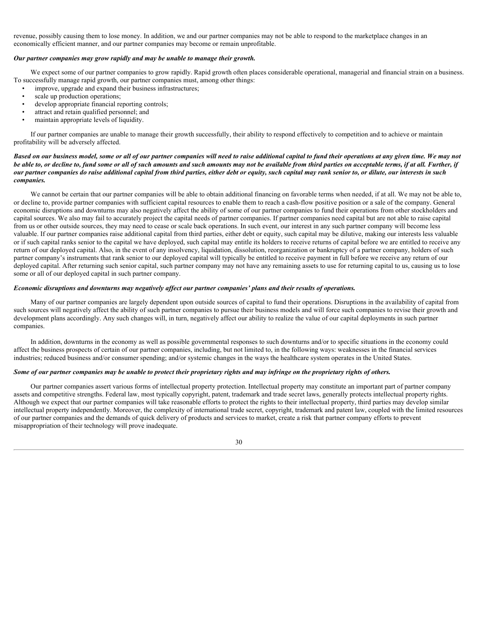revenue, possibly causing them to lose money. In addition, we and our partner companies may not be able to respond to the marketplace changes in an economically efficient manner, and our partner companies may become or remain unprofitable.

#### *Our partner companies may grow rapidly and may be unable to manage their growth.*

We expect some of our partner companies to grow rapidly. Rapid growth often places considerable operational, managerial and financial strain on a business. To successfully manage rapid growth, our partner companies must, among other things:

- improve, upgrade and expand their business infrastructures;
- scale up production operations;
- develop appropriate financial reporting controls;
- attract and retain qualified personnel; and
- maintain appropriate levels of liquidity.

If our partner companies are unable to manage their growth successfully, their ability to respond effectively to competition and to achieve or maintain profitability will be adversely affected.

## *Based on our business model, some or all of our partner companies will need to raise additional capital to fund their operations at any given time. We may not be able to, or decline to, fund some or all of such amounts and such amounts may not be available from third parties on acceptable terms, if at all. Further, if our partner companies do raise additional capital from third parties, either debt or equity, such capital may rank senior to, or dilute, our interests in such companies.*

We cannot be certain that our partner companies will be able to obtain additional financing on favorable terms when needed, if at all. We may not be able to, or decline to, provide partner companies with sufficient capital resources to enable them to reach a cash-flow positive position or a sale of the company. General economic disruptions and downturns may also negatively affect the ability of some of our partner companies to fund their operations from other stockholders and capital sources. We also may fail to accurately project the capital needs of partner companies. If partner companies need capital but are not able to raise capital from us or other outside sources, they may need to cease or scale back operations. In such event, our interest in any such partner company will become less valuable. If our partner companies raise additional capital from third parties, either debt or equity, such capital may be dilutive, making our interests less valuable or if such capital ranks senior to the capital we have deployed, such capital may entitle its holders to receive returns of capital before we are entitled to receive any return of our deployed capital. Also, in the event of any insolvency, liquidation, dissolution, reorganization or bankruptcy of a partner company, holders of such partner company's instruments that rank senior to our deployed capital will typically be entitled to receive payment in full before we receive any return of our deployed capital. After returning such senior capital, such partner company may not have any remaining assets to use for returning capital to us, causing us to lose some or all of our deployed capital in such partner company.

# *Economic disruptions and downturns may negatively affect our partner companies' plans and their results of operations.*

Many of our partner companies are largely dependent upon outside sources of capital to fund their operations. Disruptions in the availability of capital from such sources will negatively affect the ability of such partner companies to pursue their business models and will force such companies to revise their growth and development plans accordingly. Any such changes will, in turn, negatively affect our ability to realize the value of our capital deployments in such partner companies.

In addition, downturns in the economy as well as possible governmental responses to such downturns and/or to specific situations in the economy could affect the business prospects of certain of our partner companies, including, but not limited to, in the following ways: weaknesses in the financial services industries; reduced business and/or consumer spending; and/or systemic changes in the ways the healthcare system operates in the United States.

## *Some of our partner companies may be unable to protect their proprietary rights and may infringe on the proprietary rights of others.*

Our partner companies assert various forms of intellectual property protection. Intellectual property may constitute an important part of partner company assets and competitive strengths. Federal law, most typically copyright, patent, trademark and trade secret laws, generally protects intellectual property rights. Although we expect that our partner companies will take reasonable efforts to protect the rights to their intellectual property, third parties may develop similar intellectual property independently. Moreover, the complexity of international trade secret, copyright, trademark and patent law, coupled with the limited resources of our partner companies and the demands of quick delivery of products and services to market, create a risk that partner company efforts to prevent misappropriation of their technology will prove inadequate.

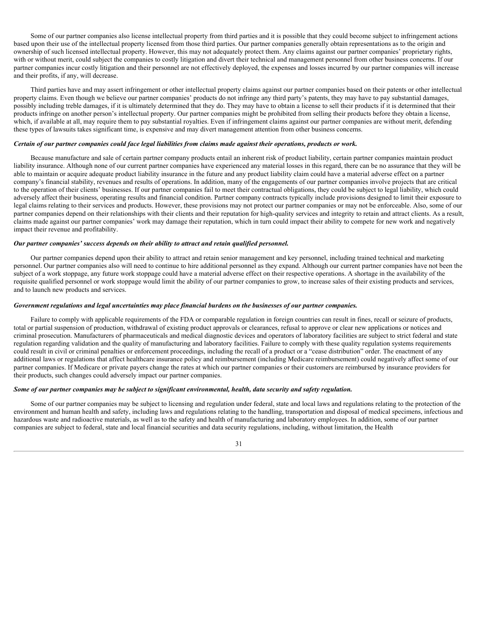Some of our partner companies also license intellectual property from third parties and it is possible that they could become subject to infringement actions based upon their use of the intellectual property licensed from those third parties. Our partner companies generally obtain representations as to the origin and ownership of such licensed intellectual property. However, this may not adequately protect them. Any claims against our partner companies' proprietary rights, with or without merit, could subject the companies to costly litigation and divert their technical and management personnel from other business concerns. If our partner companies incur costly litigation and their personnel are not effectively deployed, the expenses and losses incurred by our partner companies will increase and their profits, if any, will decrease.

Third parties have and may assert infringement or other intellectual property claims against our partner companies based on their patents or other intellectual property claims. Even though we believe our partner companies' products do not infringe any third party's patents, they may have to pay substantial damages, possibly including treble damages, if it is ultimately determined that they do. They may have to obtain a license to sell their products if it is determined that their products infringe on another person's intellectual property. Our partner companies might be prohibited from selling their products before they obtain a license, which, if available at all, may require them to pay substantial royalties. Even if infringement claims against our partner companies are without merit, defending these types of lawsuits takes significant time, is expensive and may divert management attention from other business concerns.

#### *Certain of our partner companies could face legal liabilities from claims made against their operations, products or work.*

Because manufacture and sale of certain partner company products entail an inherent risk of product liability, certain partner companies maintain product liability insurance. Although none of our current partner companies have experienced any material losses in this regard, there can be no assurance that they will be able to maintain or acquire adequate product liability insurance in the future and any product liability claim could have a material adverse effect on a partner company's financial stability, revenues and results of operations. In addition, many of the engagements of our partner companies involve projects that are critical to the operation of their clients' businesses. If our partner companies fail to meet their contractual obligations, they could be subject to legal liability, which could adversely affect their business, operating results and financial condition. Partner company contracts typically include provisions designed to limit their exposure to legal claims relating to their services and products. However, these provisions may not protect our partner companies or may not be enforceable. Also, some of our partner companies depend on their relationships with their clients and their reputation for high-quality services and integrity to retain and attract clients. As a result, claims made against our partner companies' work may damage their reputation, which in turn could impact their ability to compete for new work and negatively impact their revenue and profitability.

#### *Our partner companies' success depends on their ability to attract and retain qualified personnel.*

Our partner companies depend upon their ability to attract and retain senior management and key personnel, including trained technical and marketing personnel. Our partner companies also will need to continue to hire additional personnel as they expand. Although our current partner companies have not been the subject of a work stoppage, any future work stoppage could have a material adverse effect on their respective operations. A shortage in the availability of the requisite qualified personnel or work stoppage would limit the ability of our partner companies to grow, to increase sales of their existing products and services, and to launch new products and services.

#### *Government regulations and legal uncertainties may place financial burdens on the businesses of our partner companies.*

Failure to comply with applicable requirements of the FDA or comparable regulation in foreign countries can result in fines, recall or seizure of products, total or partial suspension of production, withdrawal of existing product approvals or clearances, refusal to approve or clear new applications or notices and criminal prosecution. Manufacturers of pharmaceuticals and medical diagnostic devices and operators of laboratory facilities are subject to strict federal and state regulation regarding validation and the quality of manufacturing and laboratory facilities. Failure to comply with these quality regulation systems requirements could result in civil or criminal penalties or enforcement proceedings, including the recall of a product or a "cease distribution" order. The enactment of any additional laws or regulations that affect healthcare insurance policy and reimbursement (including Medicare reimbursement) could negatively affect some of our partner companies. If Medicare or private payers change the rates at which our partner companies or their customers are reimbursed by insurance providers for their products, such changes could adversely impact our partner companies.

## *Some of our partner companies may be subject to significant environmental, health, data security and safety regulation.*

Some of our partner companies may be subject to licensing and regulation under federal, state and local laws and regulations relating to the protection of the environment and human health and safety, including laws and regulations relating to the handling, transportation and disposal of medical specimens, infectious and hazardous waste and radioactive materials, as well as to the safety and health of manufacturing and laboratory employees. In addition, some of our partner companies are subject to federal, state and local financial securities and data security regulations, including, without limitation, the Health

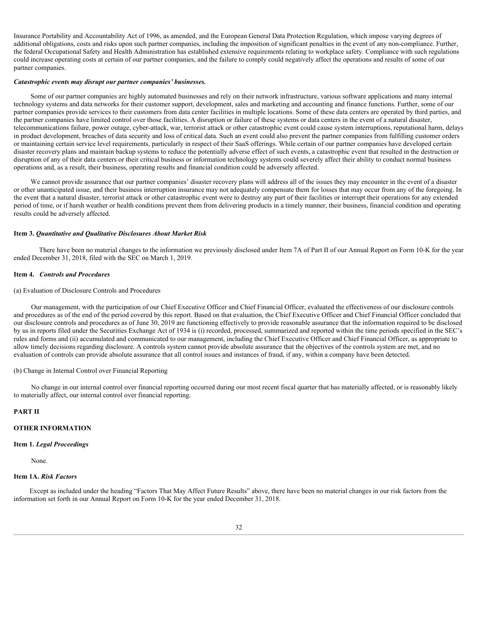Insurance Portability and Accountability Act of 1996, as amended, and the European General Data Protection Regulation, which impose varying degrees of additional obligations, costs and risks upon such partner companies, including the imposition of significant penalties in the event of any non-compliance. Further, the federal Occupational Safety and Health Administration has established extensive requirements relating to workplace safety. Compliance with such regulations could increase operating costs at certain of our partner companies, and the failure to comply could negatively affect the operations and results of some of our partner companies.

#### *Catastrophic events may disrupt our partner companies' businesses.*

Some of our partner companies are highly automated businesses and rely on their network infrastructure, various software applications and many internal technology systems and data networks for their customer support, development, sales and marketing and accounting and finance functions. Further, some of our partner companies provide services to their customers from data center facilities in multiple locations. Some of these data centers are operated by third parties, and the partner companies have limited control over those facilities. A disruption or failure of these systems or data centers in the event of a natural disaster, telecommunications failure, power outage, cyber-attack, war, terrorist attack or other catastrophic event could cause system interruptions, reputational harm, delays in product development, breaches of data security and loss of critical data. Such an event could also prevent the partner companies from fulfilling customer orders or maintaining certain service level requirements, particularly in respect of their SaaS offerings. While certain of our partner companies have developed certain disaster recovery plans and maintain backup systems to reduce the potentially adverse effect of such events, a catastrophic event that resulted in the destruction or disruption of any of their data centers or their critical business or information technology systems could severely affect their ability to conduct normal business operations and, as a result, their business, operating results and financial condition could be adversely affected.

We cannot provide assurance that our partner companies' disaster recovery plans will address all of the issues they may encounter in the event of a disaster or other unanticipated issue, and their business interruption insurance may not adequately compensate them for losses that may occur from any of the foregoing. In the event that a natural disaster, terrorist attack or other catastrophic event were to destroy any part of their facilities or interrupt their operations for any extended period of time, or if harsh weather or health conditions prevent them from delivering products in a timely manner, their business, financial condition and operating results could be adversely affected.

#### <span id="page-31-0"></span>**Item 3.** *Quantitative and Qualitative Disclosures About Market Risk*

There have been no material changes to the information we previously disclosed under Item 7A of Part II of our Annual Report on Form 10-K for the year ended December 31, 2018, filed with the SEC on March 1, 2019.

#### <span id="page-31-1"></span>**Item 4.** *Controls and Procedures*

#### (a) Evaluation of Disclosure Controls and Procedures

Our management, with the participation of our Chief Executive Officer and Chief Financial Officer, evaluated the effectiveness of our disclosure controls and procedures as of the end of the period covered by this report. Based on that evaluation, the Chief Executive Officer and Chief Financial Officer concluded that our disclosure controls and procedures as of June 30, 2019 are functioning effectively to provide reasonable assurance that the information required to be disclosed by us in reports filed under the Securities Exchange Act of 1934 is (i) recorded, processed, summarized and reported within the time periods specified in the SEC's rules and forms and (ii) accumulated and communicated to our management, including the Chief Executive Officer and Chief Financial Officer, as appropriate to allow timely decisions regarding disclosure. A controls system cannot provide absolute assurance that the objectives of the controls system are met, and no evaluation of controls can provide absolute assurance that all control issues and instances of fraud, if any, within a company have been detected.

#### (b) Change in Internal Control over Financial Reporting

No change in our internal control over financial reporting occurred during our most recent fiscal quarter that has materially affected, or is reasonably likely to materially affect, our internal control over financial reporting.

#### <span id="page-31-2"></span>**PART II**

# **OTHER INFORMATION**

#### **Item 1.** *Legal Proceedings*

None.

## <span id="page-31-3"></span>**Item 1A.** *Risk Factors*

Except as included under the heading "Factors That May Affect Future Results" above, there have been no material changes in our risk factors from the information set forth in our Annual Report on Form 10-K for the year ended December 31, 2018.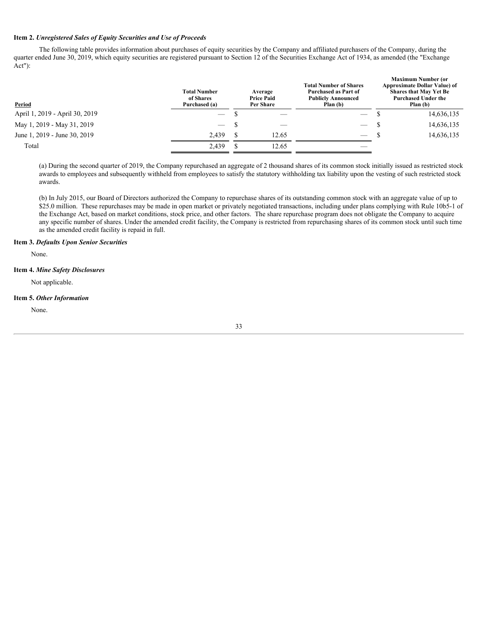# <span id="page-32-0"></span>**Item 2.** *Unregistered Sales of Equity Securities and Use of Proceeds*

The following table provides information about purchases of equity securities by the Company and affiliated purchasers of the Company, during the quarter ended June 30, 2019, which equity securities are registered pursuant to Section 12 of the Securities Exchange Act of 1934, as amended (the "Exchange Act"):

| Period                         | <b>Total Number</b><br>of Shares<br>Purchased (a) | Average<br><b>Price Paid</b><br>Per Share | <b>Total Number of Shares</b><br>Purchased as Part of<br><b>Publicly Announced</b><br>Plan (b) | <b>Maximum Number (or</b><br><b>Approximate Dollar Value) of</b><br><b>Shares that May Yet Be</b><br><b>Purchased Under the</b><br>Plan (b) |
|--------------------------------|---------------------------------------------------|-------------------------------------------|------------------------------------------------------------------------------------------------|---------------------------------------------------------------------------------------------------------------------------------------------|
| April 1, 2019 - April 30, 2019 | $\hspace{0.1mm}-\hspace{0.1mm}$                   | $\hspace{0.1mm}-\hspace{0.1mm}$           | $\hspace{0.05cm}$                                                                              | 14,636,135                                                                                                                                  |
| May 1, 2019 - May 31, 2019     | $\overline{\phantom{a}}$                          |                                           | $\overline{\phantom{m}}$<br>$\overline{\phantom{a}}$                                           | 14,636,135                                                                                                                                  |
| June 1, 2019 - June 30, 2019   | 2,439                                             | 12.65                                     | $\overline{\phantom{m}}$                                                                       | 14,636,135                                                                                                                                  |
| Total                          | 2,439                                             | 12.65                                     |                                                                                                |                                                                                                                                             |
|                                |                                                   |                                           |                                                                                                |                                                                                                                                             |

(a) During the second quarter of 2019, the Company repurchased an aggregate of 2 thousand shares of its common stock initially issued as restricted stock awards to employees and subsequently withheld from employees to satisfy the statutory withholding tax liability upon the vesting of such restricted stock awards.

(b) In July 2015, our Board of Directors authorized the Company to repurchase shares of its outstanding common stock with an aggregate value of up to \$25.0 million. These repurchases may be made in open market or privately negotiated transactions, including under plans complying with Rule 10b5-1 of the Exchange Act, based on market conditions, stock price, and other factors. The share repurchase program does not obligate the Company to acquire any specific number of shares. Under the amended credit facility, the Company is restricted from repurchasing shares of its common stock until such time as the amended credit facility is repaid in full.

# <span id="page-32-1"></span>**Item 3.** *Defaults Upon Senior Securities*

None.

# <span id="page-32-2"></span>**Item 4.** *Mine Safety Disclosures*

Not applicable.

## <span id="page-32-3"></span>**Item 5.** *Other Information*

None.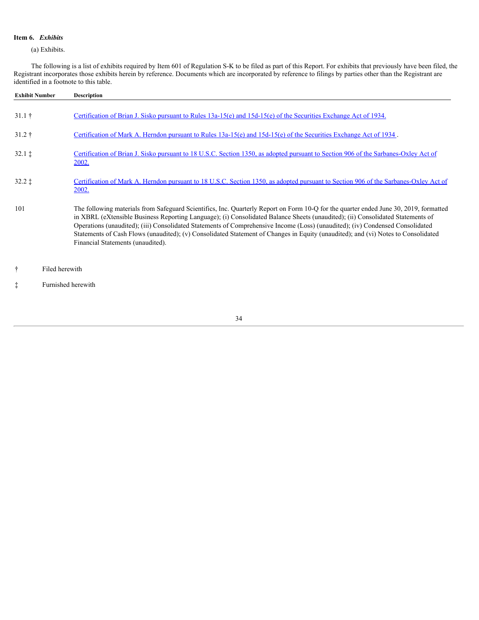# <span id="page-33-0"></span>**Item 6.** *Exhibits*

(a) Exhibits.

The following is a list of exhibits required by Item 601 of Regulation S-K to be filed as part of this Report. For exhibits that previously have been filed, the Registrant incorporates those exhibits herein by reference. Documents which are incorporated by reference to filings by parties other than the Registrant are identified in a footnote to this table.

| <b>Exhibit Number</b>   |                    | <b>Description</b>                                                                                                                                                                                                                                                                                                                                                                                                                                                                                                                                                                 |
|-------------------------|--------------------|------------------------------------------------------------------------------------------------------------------------------------------------------------------------------------------------------------------------------------------------------------------------------------------------------------------------------------------------------------------------------------------------------------------------------------------------------------------------------------------------------------------------------------------------------------------------------------|
| $31.1 \;{\rm \ddagger}$ |                    | Certification of Brian J. Sisko pursuant to Rules 13a-15(e) and $15d-15(e)$ of the Securities Exchange Act of 1934.                                                                                                                                                                                                                                                                                                                                                                                                                                                                |
| $31.2 \;{\dagger}$      |                    | Certification of Mark A. Herndon pursuant to Rules 13a-15(e) and $15d-15(e)$ of the Securities Exchange Act of 1934.                                                                                                                                                                                                                                                                                                                                                                                                                                                               |
| $32.1 \;$ ‡             |                    | Certification of Brian J. Sisko pursuant to 18 U.S.C. Section 1350, as adopted pursuant to Section 906 of the Sarbanes-Oxley Act of<br><u>2002.</u>                                                                                                                                                                                                                                                                                                                                                                                                                                |
| $32.2 \;$ $\ddagger$    |                    | Certification of Mark A. Herndon pursuant to 18 U.S.C. Section 1350, as adopted pursuant to Section 906 of the Sarbanes-Oxley Act of<br><u>2002.</u>                                                                                                                                                                                                                                                                                                                                                                                                                               |
| 101                     |                    | The following materials from Safeguard Scientifics, Inc. Quarterly Report on Form 10-Q for the quarter ended June 30, 2019, formatted<br>in XBRL (eXtensible Business Reporting Language); (i) Consolidated Balance Sheets (unaudited); (ii) Consolidated Statements of<br>Operations (unaudited); (iii) Consolidated Statements of Comprehensive Income (Loss) (unaudited); (iv) Condensed Consolidated<br>Statements of Cash Flows (unaudited); (v) Consolidated Statement of Changes in Equity (unaudited); and (vi) Notes to Consolidated<br>Financial Statements (unaudited). |
| Ť.                      | Filed herewith     |                                                                                                                                                                                                                                                                                                                                                                                                                                                                                                                                                                                    |
|                         | Furnished herewith |                                                                                                                                                                                                                                                                                                                                                                                                                                                                                                                                                                                    |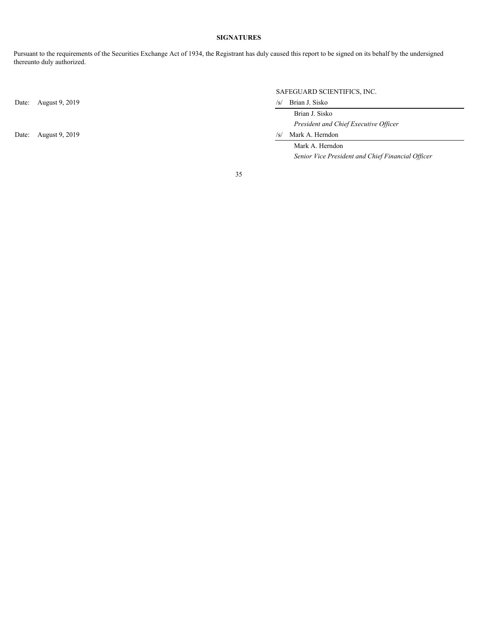# **SIGNATURES**

<span id="page-34-0"></span>Pursuant to the requirements of the Securities Exchange Act of 1934, the Registrant has duly caused this report to be signed on its behalf by the undersigned thereunto duly authorized.

Date: August 9, 2019 /s/ Brian J. Sisko

Date: August 9, 2019 /s/ Mark A. Herndon

SAFEGUARD SCIENTIFICS, INC.

 Brian J. Sisko *President and Chief Executive Officer*

 Mark A. Herndon *Senior Vice President and Chief Financial Officer*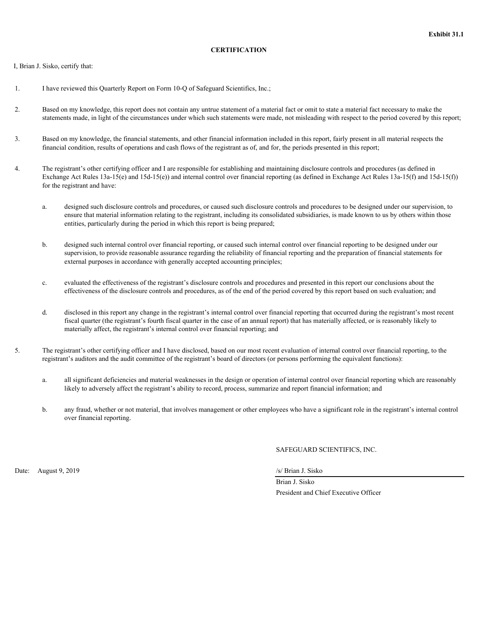# **CERTIFICATION**

<span id="page-35-0"></span>I, Brian J. Sisko, certify that:

- 1. I have reviewed this Quarterly Report on Form 10-Q of Safeguard Scientifics, Inc.;
- 2. Based on my knowledge, this report does not contain any untrue statement of a material fact or omit to state a material fact necessary to make the statements made, in light of the circumstances under which such statements were made, not misleading with respect to the period covered by this report;
- 3. Based on my knowledge, the financial statements, and other financial information included in this report, fairly present in all material respects the financial condition, results of operations and cash flows of the registrant as of, and for, the periods presented in this report;
- 4. The registrant's other certifying officer and I are responsible for establishing and maintaining disclosure controls and procedures (as defined in Exchange Act Rules  $13a-15(e)$  and  $15d-15(e)$ ) and internal control over financial reporting (as defined in Exchange Act Rules  $13a-15(f)$ ) and  $15d-15(f)$ ) for the registrant and have:
	- a. designed such disclosure controls and procedures, or caused such disclosure controls and procedures to be designed under our supervision, to ensure that material information relating to the registrant, including its consolidated subsidiaries, is made known to us by others within those entities, particularly during the period in which this report is being prepared;
	- b. designed such internal control over financial reporting, or caused such internal control over financial reporting to be designed under our supervision, to provide reasonable assurance regarding the reliability of financial reporting and the preparation of financial statements for external purposes in accordance with generally accepted accounting principles;
	- c. evaluated the effectiveness of the registrant's disclosure controls and procedures and presented in this report our conclusions about the effectiveness of the disclosure controls and procedures, as of the end of the period covered by this report based on such evaluation; and
	- d. disclosed in this report any change in the registrant's internal control over financial reporting that occurred during the registrant's most recent fiscal quarter (the registrant's fourth fiscal quarter in the case of an annual report) that has materially affected, or is reasonably likely to materially affect, the registrant's internal control over financial reporting; and
- 5. The registrant's other certifying officer and I have disclosed, based on our most recent evaluation of internal control over financial reporting, to the registrant's auditors and the audit committee of the registrant's board of directors (or persons performing the equivalent functions):
	- a. all significant deficiencies and material weaknesses in the design or operation of internal control over financial reporting which are reasonably likely to adversely affect the registrant's ability to record, process, summarize and report financial information; and
	- b. any fraud, whether or not material, that involves management or other employees who have a significant role in the registrant's internal control over financial reporting.

SAFEGUARD SCIENTIFICS, INC.

Date: August 9, 2019 */s/ Brian J. Sisko* 

 Brian J. Sisko President and Chief Executive Officer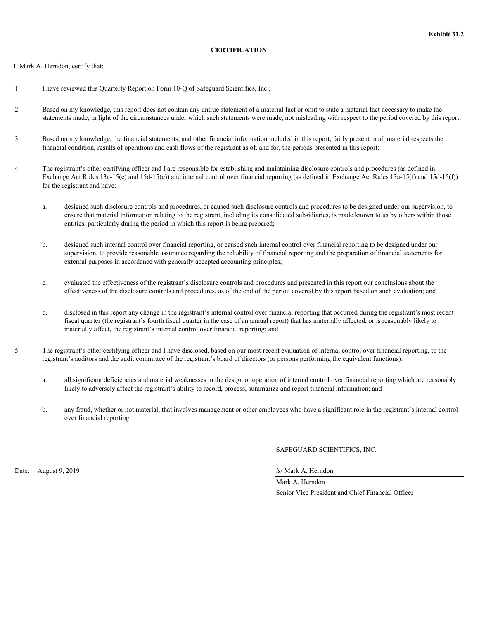# **CERTIFICATION**

<span id="page-36-0"></span>I, Mark A. Herndon, certify that:

- 1. I have reviewed this Quarterly Report on Form 10-Q of Safeguard Scientifics, Inc.;
- 2. Based on my knowledge, this report does not contain any untrue statement of a material fact or omit to state a material fact necessary to make the statements made, in light of the circumstances under which such statements were made, not misleading with respect to the period covered by this report;
- 3. Based on my knowledge, the financial statements, and other financial information included in this report, fairly present in all material respects the financial condition, results of operations and cash flows of the registrant as of, and for, the periods presented in this report;
- 4. The registrant's other certifying officer and I are responsible for establishing and maintaining disclosure controls and procedures (as defined in Exchange Act Rules  $13a-15(e)$  and  $15d-15(e)$ ) and internal control over financial reporting (as defined in Exchange Act Rules  $13a-15(f)$ ) and  $15d-15(f)$ ) for the registrant and have:
	- a. designed such disclosure controls and procedures, or caused such disclosure controls and procedures to be designed under our supervision, to ensure that material information relating to the registrant, including its consolidated subsidiaries, is made known to us by others within those entities, particularly during the period in which this report is being prepared;
	- b. designed such internal control over financial reporting, or caused such internal control over financial reporting to be designed under our supervision, to provide reasonable assurance regarding the reliability of financial reporting and the preparation of financial statements for external purposes in accordance with generally accepted accounting principles;
	- c. evaluated the effectiveness of the registrant's disclosure controls and procedures and presented in this report our conclusions about the effectiveness of the disclosure controls and procedures, as of the end of the period covered by this report based on such evaluation; and
	- d. disclosed in this report any change in the registrant's internal control over financial reporting that occurred during the registrant's most recent fiscal quarter (the registrant's fourth fiscal quarter in the case of an annual report) that has materially affected, or is reasonably likely to materially affect, the registrant's internal control over financial reporting; and
- 5. The registrant's other certifying officer and I have disclosed, based on our most recent evaluation of internal control over financial reporting, to the registrant's auditors and the audit committee of the registrant's board of directors (or persons performing the equivalent functions):
	- a. all significant deficiencies and material weaknesses in the design or operation of internal control over financial reporting which are reasonably likely to adversely affect the registrant's ability to record, process, summarize and report financial information; and
	- b. any fraud, whether or not material, that involves management or other employees who have a significant role in the registrant's internal control over financial reporting.

SAFEGUARD SCIENTIFICS, INC.

Date: August 9, 2019 */s/ Mark A. Herndon* 

Mark A. Herndon Senior Vice President and Chief Financial Officer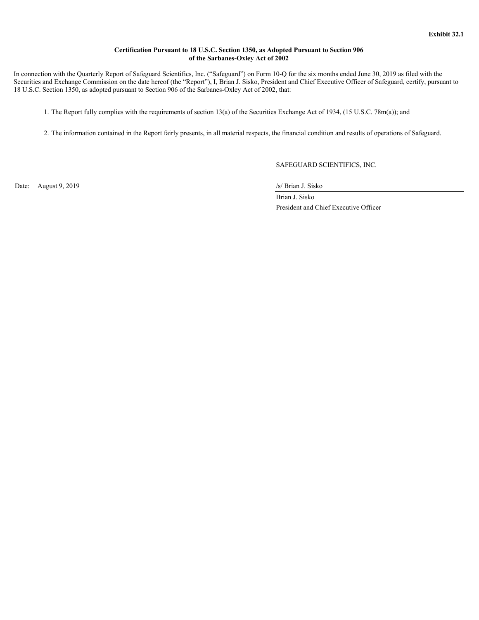# **Certification Pursuant to 18 U.S.C. Section 1350, as Adopted Pursuant to Section 906 of the Sarbanes-Oxley Act of 2002**

<span id="page-37-0"></span> In connection with the Quarterly Report of Safeguard Scientifics, Inc. ("Safeguard") on Form 10-Q for the six months ended June 30, 2019 as filed with the Securities and Exchange Commission on the date hereof (the "Report"), I, Brian J. Sisko, President and Chief Executive Officer of Safeguard, certify, pursuant to 18 U.S.C. Section 1350, as adopted pursuant to Section 906 of the Sarbanes-Oxley Act of 2002, that:

1. The Report fully complies with the requirements of section 13(a) of the Securities Exchange Act of 1934, (15 U.S.C. 78m(a)); and

2. The information contained in the Report fairly presents, in all material respects, the financial condition and results of operations of Safeguard.

SAFEGUARD SCIENTIFICS, INC.

Date: August 9, 2019 */s/ Brian J. Sisko* 

 Brian J. Sisko President and Chief Executive Officer